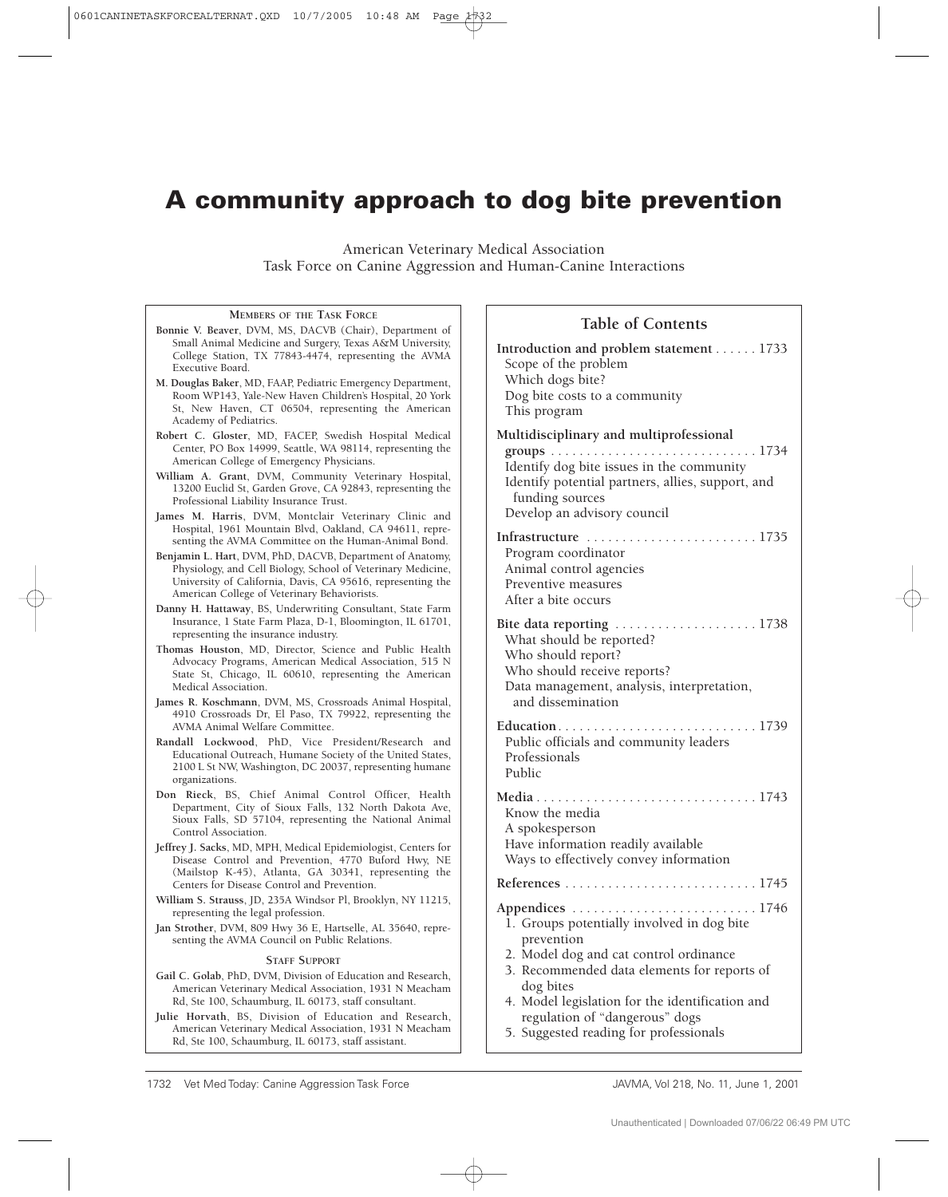# **A community approach to dog bite prevention**

American Veterinary Medical Association Task Force on Canine Aggression and Human-Canine Interactions

**Table of Contents Introduction and problem statement** . . . . . . 1733 Scope of the problem Which dogs bite? Dog bite costs to a community This program **Multidisciplinary and multiprofessional groups** . . . . . . . . . . . . . . . . . . . . . . . . . . . . . 1734 Identify dog bite issues in the community Identify potential partners, allies, support, and funding sources Develop an advisory council **Infrastructure** . . . . . . . . . . . . . . . . . . . . . . . . 1735 Program coordinator Animal control agencies Preventive measures After a bite occurs **Bite data reporting** . . . . . . . . . . . . . . . . . . . . 1738 What should be reported? Who should report? Who should receive reports? Data management, analysis, interpretation, and dissemination **Education**. . . . . . . . . . . . . . . . . . . . . . . . . . . . 1739 Public officials and community leaders Professionals Public **Media** . . . . . . . . . . . . . . . . . . . . . . . . . . . . . . . 1743 Know the media A spokesperson Have information readily available Ways to effectively convey information **References** . . . . . . . . . . . . . . . . . . . . . . . . . . . 1745 **Appendices** . . . . . . . . . . . . . . . . . . . . . . . . . . 1746 1. Groups potentially involved in dog bite prevention 2. Model dog and cat control ordinance 3. Recommended data elements for reports of dog bites 4. Model legislation for the identification and regulation of "dangerous" dogs 5. Suggested reading for professionals **MEMBERS OF THE TASK FORCE Bonnie V. Beaver**, DVM, MS, DACVB (Chair), Department of Small Animal Medicine and Surgery, Texas A&M University, College Station, TX 77843-4474, representing the AVMA Executive Board. **M. Douglas Baker**, MD, FAAP, Pediatric Emergency Department, Room WP143, Yale-New Haven Children's Hospital, 20 York St, New Haven, CT 06504, representing the American Academy of Pediatrics. **Robert C. Gloster**, MD, FACEP, Swedish Hospital Medical Center, PO Box 14999, Seattle, WA 98114, representing the American College of Emergency Physicians. **William A. Grant**, DVM, Community Veterinary Hospital, 13200 Euclid St, Garden Grove, CA 92843, representing the Professional Liability Insurance Trust. **James M. Harris**, DVM, Montclair Veterinary Clinic and Hospital, 1961 Mountain Blvd, Oakland, CA 94611, representing the AVMA Committee on the Human-Animal Bond. **Benjamin L. Hart**, DVM, PhD, DACVB, Department of Anatomy, Physiology, and Cell Biology, School of Veterinary Medicine, University of California, Davis, CA 95616, representing the American College of Veterinary Behaviorists. **Danny H. Hattaway**, BS, Underwriting Consultant, State Farm Insurance, 1 State Farm Plaza, D-1, Bloomington, IL 61701, representing the insurance industry. **Thomas Houston**, MD, Director, Science and Public Health Advocacy Programs, American Medical Association, 515 N State St, Chicago, IL 60610, representing the American Medical Association. **James R. Koschmann**, DVM, MS, Crossroads Animal Hospital, 4910 Crossroads Dr, El Paso, TX 79922, representing the AVMA Animal Welfare Committee. **Randall Lockwood**, PhD, Vice President/Research and Educational Outreach, Humane Society of the United States, 2100 L St NW, Washington, DC 20037, representing humane organizations. **Don Rieck**, BS, Chief Animal Control Officer, Health Department, City of Sioux Falls, 132 North Dakota Ave, Sioux Falls, SD 57104, representing the National Animal Control Association. **Jeffrey J. Sacks**, MD, MPH, Medical Epidemiologist, Centers for Disease Control and Prevention, 4770 Buford Hwy, NE (Mailstop K-45), Atlanta, GA 30341, representing the Centers for Disease Control and Prevention. **William S. Strauss**, JD, 235A Windsor Pl, Brooklyn, NY 11215, representing the legal profession. **Jan Strother**, DVM, 809 Hwy 36 E, Hartselle, AL 35640, representing the AVMA Council on Public Relations. **STAFF SUPPORT Gail C. Golab**, PhD, DVM, Division of Education and Research, American Veterinary Medical Association, 1931 N Meacham Rd, Ste 100, Schaumburg, IL 60173, staff consultant. **Julie Horvath**, BS, Division of Education and Research, American Veterinary Medical Association, 1931 N Meacham Rd, Ste 100, Schaumburg, IL 60173, staff assistant.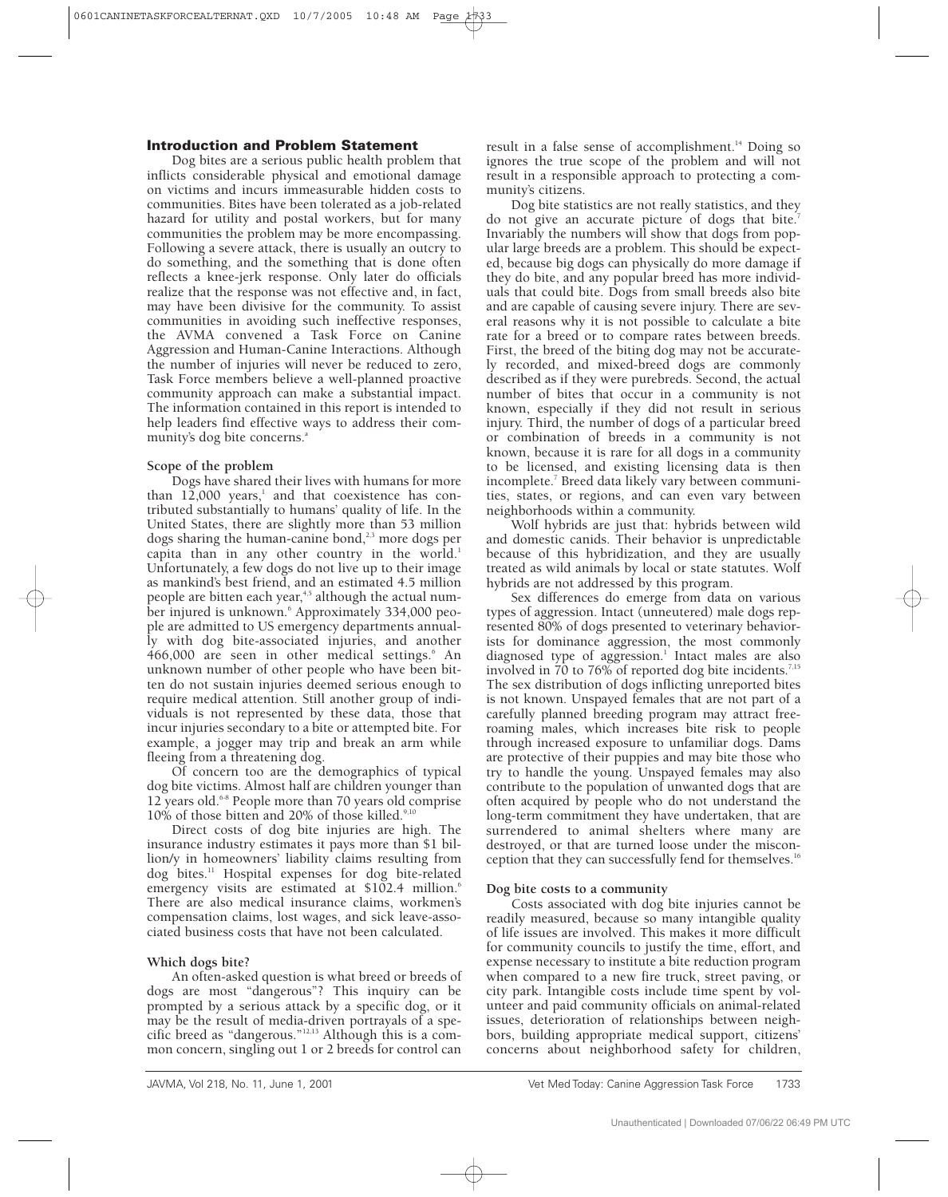## **Introduction and Problem Statement**

Dog bites are a serious public health problem that inflicts considerable physical and emotional damage on victims and incurs immeasurable hidden costs to communities. Bites have been tolerated as a job-related hazard for utility and postal workers, but for many communities the problem may be more encompassing. Following a severe attack, there is usually an outcry to do something, and the something that is done often reflects a knee-jerk response. Only later do officials realize that the response was not effective and, in fact, may have been divisive for the community. To assist communities in avoiding such ineffective responses, the AVMA convened a Task Force on Canine Aggression and Human-Canine Interactions. Although the number of injuries will never be reduced to zero, Task Force members believe a well-planned proactive community approach can make a substantial impact. The information contained in this report is intended to help leaders find effective ways to address their community's dog bite concerns.<sup>a</sup>

## **Scope of the problem**

Dogs have shared their lives with humans for more than  $12,000$  years,<sup>1</sup> and that coexistence has contributed substantially to humans' quality of life. In the United States, there are slightly more than 53 million dogs sharing the human-canine bond, $2,3$  more dogs per capita than in any other country in the world.<sup>1</sup> Unfortunately, a few dogs do not live up to their image as mankind's best friend, and an estimated 4.5 million people are bitten each year,<sup>4,5</sup> although the actual number injured is unknown.<sup>6</sup> Approximately 334,000 people are admitted to US emergency departments annually with dog bite-associated injuries, and another  $466,000$  are seen in other medical settings. $6$  An unknown number of other people who have been bitten do not sustain injuries deemed serious enough to require medical attention. Still another group of individuals is not represented by these data, those that incur injuries secondary to a bite or attempted bite. For example, a jogger may trip and break an arm while fleeing from a threatening dog.

Of concern too are the demographics of typical dog bite victims. Almost half are children younger than 12 years old.<sup>6-8</sup> People more than 70 years old comprise 10% of those bitten and 20% of those killed.<sup>9,10</sup>

Direct costs of dog bite injuries are high. The insurance industry estimates it pays more than \$1 billion/y in homeowners' liability claims resulting from dog bites.<sup>11</sup> Hospital expenses for dog bite-related emergency visits are estimated at \$102.4 million.<sup>6</sup> There are also medical insurance claims, workmen's compensation claims, lost wages, and sick leave-associated business costs that have not been calculated.

## **Which dogs bite?**

An often-asked question is what breed or breeds of dogs are most "dangerous"? This inquiry can be prompted by a serious attack by a specific dog, or it may be the result of media-driven portrayals of a specific breed as "dangerous."12,13 Although this is a common concern, singling out 1 or 2 breeds for control can

result in a false sense of accomplishment.<sup>14</sup> Doing so ignores the true scope of the problem and will not result in a responsible approach to protecting a community's citizens.

Dog bite statistics are not really statistics, and they do not give an accurate picture of dogs that bite.<sup>7</sup> Invariably the numbers will show that dogs from popular large breeds are a problem. This should be expected, because big dogs can physically do more damage if they do bite, and any popular breed has more individuals that could bite. Dogs from small breeds also bite and are capable of causing severe injury. There are several reasons why it is not possible to calculate a bite rate for a breed or to compare rates between breeds. First, the breed of the biting dog may not be accurately recorded, and mixed-breed dogs are commonly described as if they were purebreds. Second, the actual number of bites that occur in a community is not known, especially if they did not result in serious injury. Third, the number of dogs of a particular breed or combination of breeds in a community is not known, because it is rare for all dogs in a community to be licensed, and existing licensing data is then incomplete.<sup>7</sup> Breed data likely vary between communities, states, or regions, and can even vary between neighborhoods within a community.

Wolf hybrids are just that: hybrids between wild and domestic canids. Their behavior is unpredictable because of this hybridization, and they are usually treated as wild animals by local or state statutes. Wolf hybrids are not addressed by this program.

Sex differences do emerge from data on various types of aggression. Intact (unneutered) male dogs represented 80% of dogs presented to veterinary behaviorists for dominance aggression, the most commonly diagnosed type of aggression.<sup>1</sup> Intact males are also involved in 70 to 76% of reported dog bite incidents.<sup>7,15</sup> The sex distribution of dogs inflicting unreported bites is not known. Unspayed females that are not part of a carefully planned breeding program may attract freeroaming males, which increases bite risk to people through increased exposure to unfamiliar dogs. Dams are protective of their puppies and may bite those who try to handle the young. Unspayed females may also contribute to the population of unwanted dogs that are often acquired by people who do not understand the long-term commitment they have undertaken, that are surrendered to animal shelters where many are destroyed, or that are turned loose under the misconception that they can successfully fend for themselves.<sup>16</sup>

#### **Dog bite costs to a community**

Costs associated with dog bite injuries cannot be readily measured, because so many intangible quality of life issues are involved. This makes it more difficult for community councils to justify the time, effort, and expense necessary to institute a bite reduction program when compared to a new fire truck, street paving, or city park. Intangible costs include time spent by volunteer and paid community officials on animal-related issues, deterioration of relationships between neighbors, building appropriate medical support, citizens' concerns about neighborhood safety for children,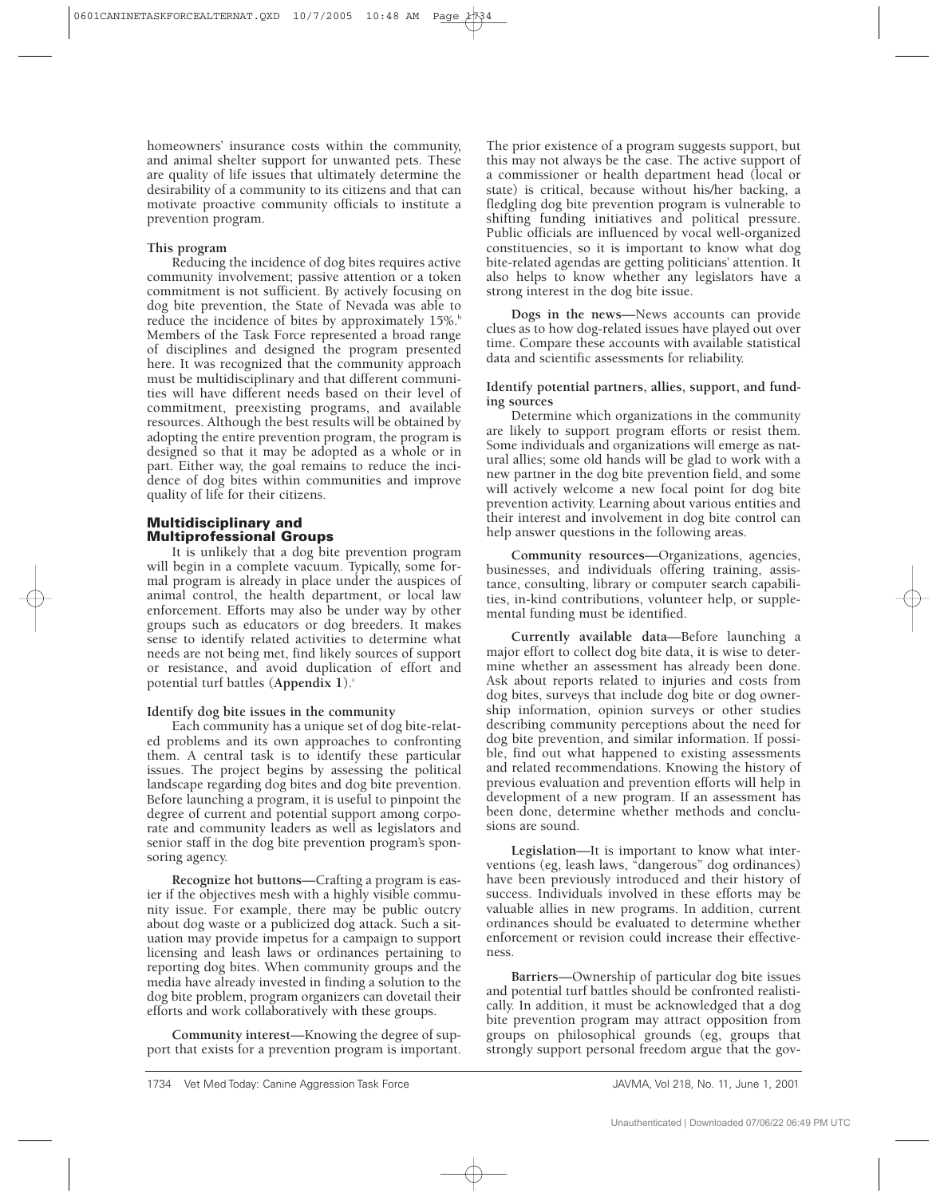homeowners' insurance costs within the community, and animal shelter support for unwanted pets. These are quality of life issues that ultimately determine the desirability of a community to its citizens and that can motivate proactive community officials to institute a prevention program.

#### **This program**

Reducing the incidence of dog bites requires active community involvement; passive attention or a token commitment is not sufficient. By actively focusing on dog bite prevention, the State of Nevada was able to reduce the incidence of bites by approximately 15%.<sup>b</sup> Members of the Task Force represented a broad range of disciplines and designed the program presented here. It was recognized that the community approach must be multidisciplinary and that different communities will have different needs based on their level of commitment, preexisting programs, and available resources. Although the best results will be obtained by adopting the entire prevention program, the program is designed so that it may be adopted as a whole or in part. Either way, the goal remains to reduce the incidence of dog bites within communities and improve quality of life for their citizens.

#### **Multidisciplinary and Multiprofessional Groups**

It is unlikely that a dog bite prevention program will begin in a complete vacuum. Typically, some formal program is already in place under the auspices of animal control, the health department, or local law enforcement. Efforts may also be under way by other groups such as educators or dog breeders. It makes sense to identify related activities to determine what needs are not being met, find likely sources of support or resistance, and avoid duplication of effort and potential turf battles (Appendix 1).<sup>c</sup>

#### **Identify dog bite issues in the community**

Each community has a unique set of dog bite-related problems and its own approaches to confronting them. A central task is to identify these particular issues. The project begins by assessing the political landscape regarding dog bites and dog bite prevention. Before launching a program, it is useful to pinpoint the degree of current and potential support among corporate and community leaders as well as legislators and senior staff in the dog bite prevention program's sponsoring agency.

**Recognize hot buttons**—Crafting a program is easier if the objectives mesh with a highly visible community issue. For example, there may be public outcry about dog waste or a publicized dog attack. Such a situation may provide impetus for a campaign to support licensing and leash laws or ordinances pertaining to reporting dog bites. When community groups and the media have already invested in finding a solution to the dog bite problem, program organizers can dovetail their efforts and work collaboratively with these groups.

**Community interest**—Knowing the degree of support that exists for a prevention program is important.

The prior existence of a program suggests support, but this may not always be the case. The active support of a commissioner or health department head (local or state) is critical, because without his/her backing, a fledgling dog bite prevention program is vulnerable to shifting funding initiatives and political pressure. Public officials are influenced by vocal well-organized constituencies, so it is important to know what dog bite-related agendas are getting politicians' attention. It also helps to know whether any legislators have a strong interest in the dog bite issue.

**Dogs in the news**—News accounts can provide clues as to how dog-related issues have played out over time. Compare these accounts with available statistical data and scientific assessments for reliability.

#### **Identify potential partners, allies, support, and funding sources**

Determine which organizations in the community are likely to support program efforts or resist them. Some individuals and organizations will emerge as natural allies; some old hands will be glad to work with a new partner in the dog bite prevention field, and some will actively welcome a new focal point for dog bite prevention activity. Learning about various entities and their interest and involvement in dog bite control can help answer questions in the following areas.

**Community resources**—Organizations, agencies, businesses, and individuals offering training, assistance, consulting, library or computer search capabilities, in-kind contributions, volunteer help, or supplemental funding must be identified.

**Currently available data**—Before launching a major effort to collect dog bite data, it is wise to determine whether an assessment has already been done. Ask about reports related to injuries and costs from dog bites, surveys that include dog bite or dog ownership information, opinion surveys or other studies describing community perceptions about the need for dog bite prevention, and similar information. If possible, find out what happened to existing assessments and related recommendations. Knowing the history of previous evaluation and prevention efforts will help in development of a new program. If an assessment has been done, determine whether methods and conclusions are sound.

**Legislation**—It is important to know what interventions (eg, leash laws, "dangerous" dog ordinances) have been previously introduced and their history of success. Individuals involved in these efforts may be valuable allies in new programs. In addition, current ordinances should be evaluated to determine whether enforcement or revision could increase their effectiveness.

**Barriers**—Ownership of particular dog bite issues and potential turf battles should be confronted realistically. In addition, it must be acknowledged that a dog bite prevention program may attract opposition from groups on philosophical grounds (eg, groups that strongly support personal freedom argue that the gov-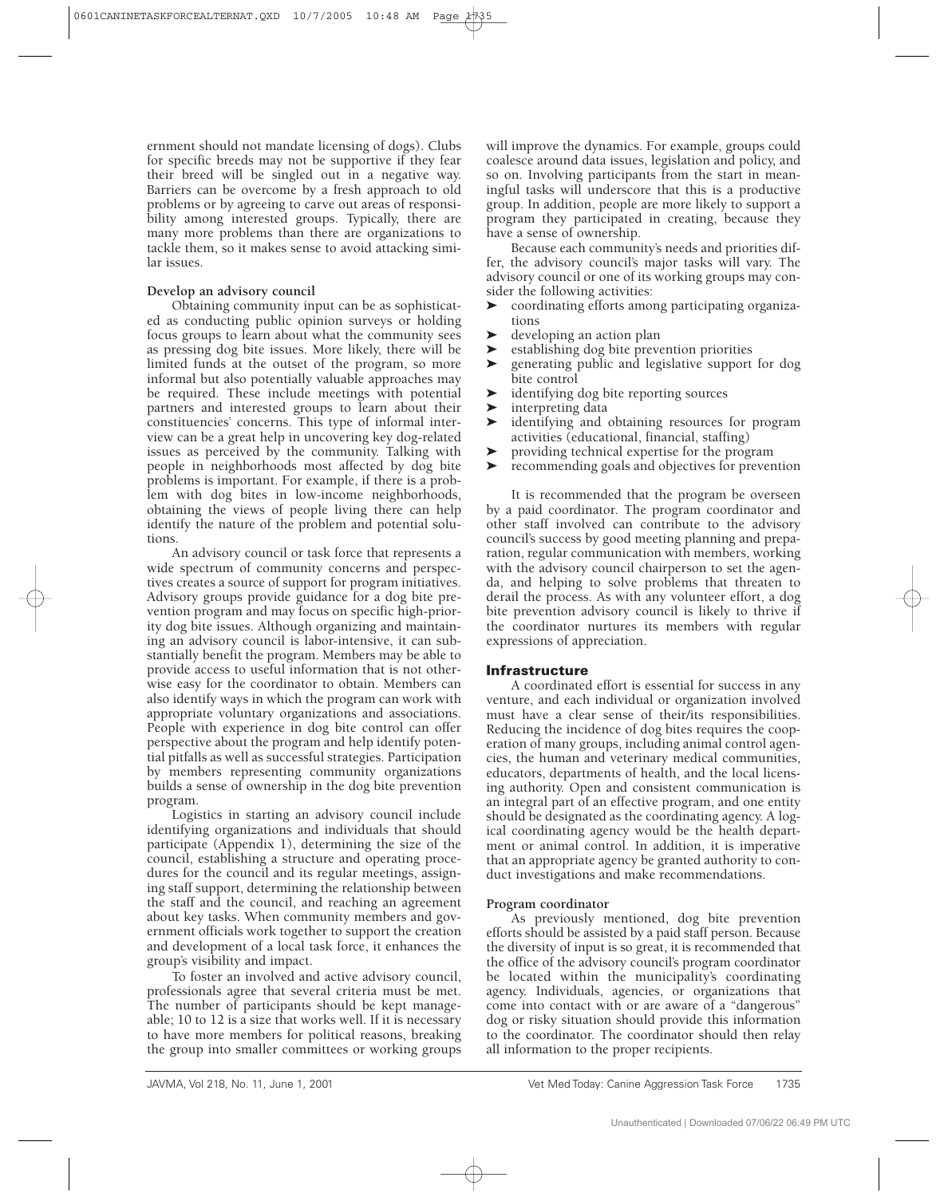ernment should not mandate licensing of dogs). Clubs for specific breeds may not be supportive if they fear their breed will be singled out in a negative way. Barriers can be overcome by a fresh approach to old problems or by agreeing to carve out areas of responsibility among interested groups. Typically, there are many more problems than there are organizations to tackle them, so it makes sense to avoid attacking similar issues.

#### **Develop an advisory council**

Obtaining community input can be as sophisticated as conducting public opinion surveys or holding focus groups to learn about what the community sees as pressing dog bite issues. More likely, there will be limited funds at the outset of the program, so more informal but also potentially valuable approaches may be required. These include meetings with potential partners and interested groups to learn about their constituencies' concerns. This type of informal interview can be a great help in uncovering key dog-related issues as perceived by the community. Talking with people in neighborhoods most affected by dog bite problems is important. For example, if there is a problem with dog bites in low-income neighborhoods, obtaining the views of people living there can help identify the nature of the problem and potential solutions.

An advisory council or task force that represents a wide spectrum of community concerns and perspectives creates a source of support for program initiatives. Advisory groups provide guidance for a dog bite prevention program and may focus on specific high-priority dog bite issues. Although organizing and maintaining an advisory council is labor-intensive, it can substantially benefit the program. Members may be able to provide access to useful information that is not otherwise easy for the coordinator to obtain. Members can also identify ways in which the program can work with appropriate voluntary organizations and associations. People with experience in dog bite control can offer perspective about the program and help identify potential pitfalls as well as successful strategies. Participation by members representing community organizations builds a sense of ownership in the dog bite prevention program.

Logistics in starting an advisory council include identifying organizations and individuals that should participate (Appendix 1), determining the size of the council, establishing a structure and operating procedures for the council and its regular meetings, assigning staff support, determining the relationship between the staff and the council, and reaching an agreement about key tasks. When community members and government officials work together to support the creation and development of a local task force, it enhances the group's visibility and impact.

To foster an involved and active advisory council, professionals agree that several criteria must be met. The number of participants should be kept manageable; 10 to 12 is a size that works well. If it is necessary to have more members for political reasons, breaking the group into smaller committees or working groups will improve the dynamics. For example, groups could coalesce around data issues, legislation and policy, and so on. Involving participants from the start in meaningful tasks will underscore that this is a productive group. In addition, people are more likely to support a program they participated in creating, because they have a sense of ownership.

Because each community's needs and priorities differ, the advisory council's major tasks will vary. The advisory council or one of its working groups may consider the following activities:

- $\blacktriangleright$  coordinating efforts among participating organizations
- $\blacktriangleright$ developing an action plan
- $\blacktriangleright$ establishing dog bite prevention priorities
- $\blacktriangleright$  generating public and legislative support for dog bite control
- 'identifying dog bite reporting sources
- $\blacktriangleright$ interpreting data
- $\blacktriangleright$  identifying and obtaining resources for program activities (educational, financial, staffing)
- 'providing technical expertise for the program
- $\blacktriangleright$ recommending goals and objectives for prevention

It is recommended that the program be overseen by a paid coordinator. The program coordinator and other staff involved can contribute to the advisory council's success by good meeting planning and preparation, regular communication with members, working with the advisory council chairperson to set the agenda, and helping to solve problems that threaten to derail the process. As with any volunteer effort, a dog bite prevention advisory council is likely to thrive if the coordinator nurtures its members with regular expressions of appreciation.

## **Infrastructure**

A coordinated effort is essential for success in any venture, and each individual or organization involved must have a clear sense of their/its responsibilities. Reducing the incidence of dog bites requires the cooperation of many groups, including animal control agencies, the human and veterinary medical communities, educators, departments of health, and the local licensing authority. Open and consistent communication is an integral part of an effective program, and one entity should be designated as the coordinating agency. A logical coordinating agency would be the health department or animal control. In addition, it is imperative that an appropriate agency be granted authority to conduct investigations and make recommendations.

#### **Program coordinator**

As previously mentioned, dog bite prevention efforts should be assisted by a paid staff person. Because the diversity of input is so great, it is recommended that the office of the advisory council's program coordinator be located within the municipality's coordinating agency. Individuals, agencies, or organizations that come into contact with or are aware of a "dangerous" dog or risky situation should provide this information to the coordinator. The coordinator should then relay all information to the proper recipients.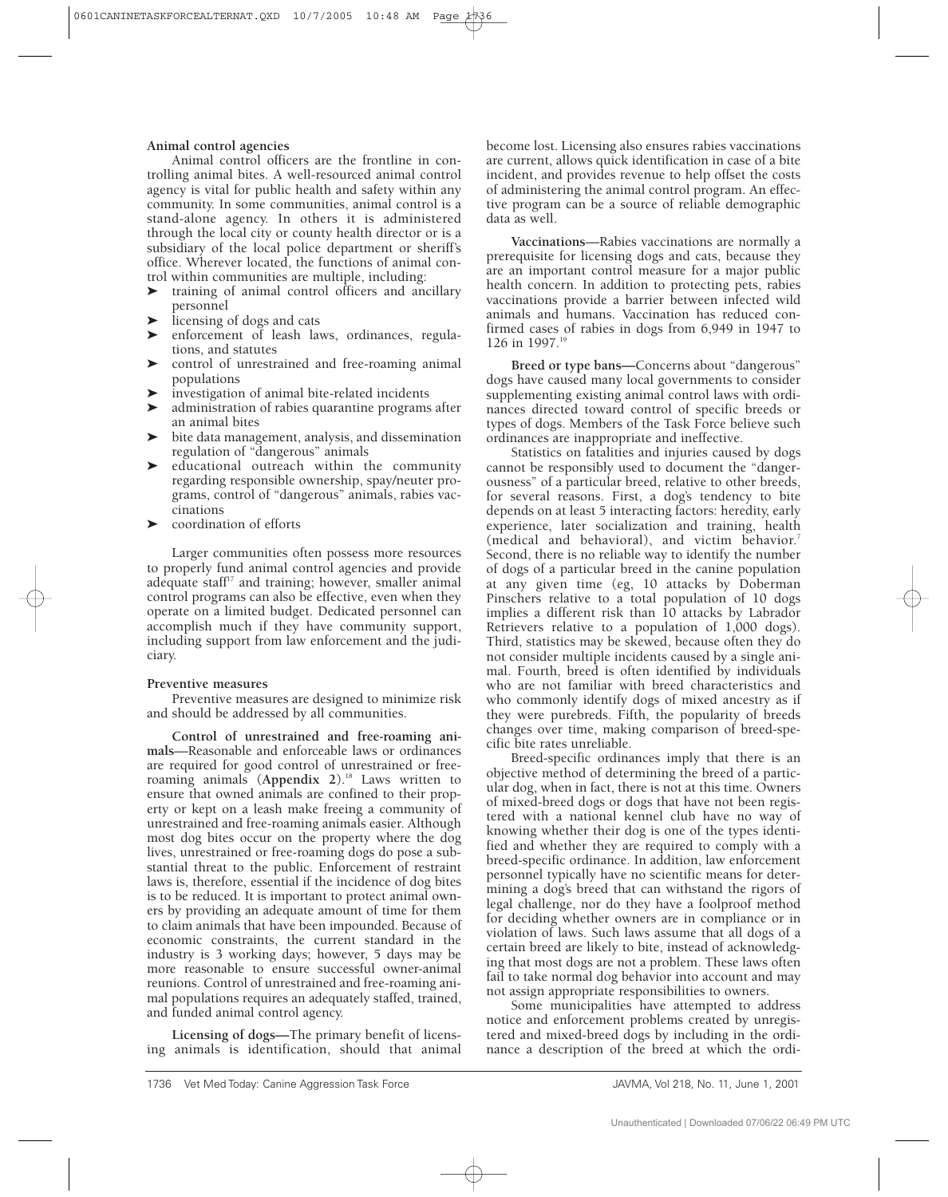#### **Animal control agencies**

Animal control officers are the frontline in controlling animal bites. A well-resourced animal control agency is vital for public health and safety within any community. In some communities, animal control is a stand-alone agency. In others it is administered through the local city or county health director or is a subsidiary of the local police department or sheriff's office. Wherever located, the functions of animal control within communities are multiple, including:

- ' training of animal control officers and ancillary personnel
- 'licensing of dogs and cats
- ' enforcement of leash laws, ordinances, regulations, and statutes
- ' control of unrestrained and free-roaming animal populations
- 'investigation of animal bite-related incidents
- ' administration of rabies quarantine programs after an animal bites
- ' bite data management, analysis, and dissemination regulation of "dangerous" animals
- ' educational outreach within the community regarding responsible ownership, spay/neuter programs, control of "dangerous" animals, rabies vaccinations
- 'coordination of efforts

Larger communities often possess more resources to properly fund animal control agencies and provide adequate staff<sup>17</sup> and training; however, smaller animal control programs can also be effective, even when they operate on a limited budget. Dedicated personnel can accomplish much if they have community support, including support from law enforcement and the judiciary.

## **Preventive measures**

Preventive measures are designed to minimize risk and should be addressed by all communities.

**Control of unrestrained and free-roaming animals**—Reasonable and enforceable laws or ordinances are required for good control of unrestrained or freeroaming animals (**Appendix 2**).18 Laws written to ensure that owned animals are confined to their property or kept on a leash make freeing a community of unrestrained and free-roaming animals easier. Although most dog bites occur on the property where the dog lives, unrestrained or free-roaming dogs do pose a substantial threat to the public. Enforcement of restraint laws is, therefore, essential if the incidence of dog bites is to be reduced. It is important to protect animal owners by providing an adequate amount of time for them to claim animals that have been impounded. Because of economic constraints, the current standard in the industry is 3 working days; however, 5 days may be more reasonable to ensure successful owner-animal reunions. Control of unrestrained and free-roaming animal populations requires an adequately staffed, trained, and funded animal control agency.

**Licensing of dogs—**The primary benefit of licensing animals is identification, should that animal

become lost. Licensing also ensures rabies vaccinations are current, allows quick identification in case of a bite incident, and provides revenue to help offset the costs of administering the animal control program. An effective program can be a source of reliable demographic data as well.

**Vaccinations**—Rabies vaccinations are normally a prerequisite for licensing dogs and cats, because they are an important control measure for a major public health concern. In addition to protecting pets, rabies vaccinations provide a barrier between infected wild animals and humans. Vaccination has reduced confirmed cases of rabies in dogs from 6,949 in 1947 to 126 in 1997.<sup>19</sup>

**Breed or type bans—**Concerns about "dangerous" dogs have caused many local governments to consider supplementing existing animal control laws with ordinances directed toward control of specific breeds or types of dogs. Members of the Task Force believe such ordinances are inappropriate and ineffective.

Statistics on fatalities and injuries caused by dogs cannot be responsibly used to document the "dangerousness" of a particular breed, relative to other breeds, for several reasons. First, a dog's tendency to bite depends on at least 5 interacting factors: heredity, early experience, later socialization and training, health (medical and behavioral), and victim behavior.<sup>7</sup> Second, there is no reliable way to identify the number of dogs of a particular breed in the canine population at any given time (eg, 10 attacks by Doberman Pinschers relative to a total population of 10 dogs implies a different risk than 10 attacks by Labrador Retrievers relative to a population of 1,000 dogs). Third, statistics may be skewed, because often they do not consider multiple incidents caused by a single animal. Fourth, breed is often identified by individuals who are not familiar with breed characteristics and who commonly identify dogs of mixed ancestry as if they were purebreds. Fifth, the popularity of breeds changes over time, making comparison of breed-specific bite rates unreliable.

Breed-specific ordinances imply that there is an objective method of determining the breed of a particular dog, when in fact, there is not at this time. Owners of mixed-breed dogs or dogs that have not been registered with a national kennel club have no way of knowing whether their dog is one of the types identified and whether they are required to comply with a breed-specific ordinance. In addition, law enforcement personnel typically have no scientific means for determining a dog's breed that can withstand the rigors of legal challenge, nor do they have a foolproof method for deciding whether owners are in compliance or in violation of laws. Such laws assume that all dogs of a certain breed are likely to bite, instead of acknowledging that most dogs are not a problem. These laws often fail to take normal dog behavior into account and may not assign appropriate responsibilities to owners.

Some municipalities have attempted to address notice and enforcement problems created by unregistered and mixed-breed dogs by including in the ordinance a description of the breed at which the ordi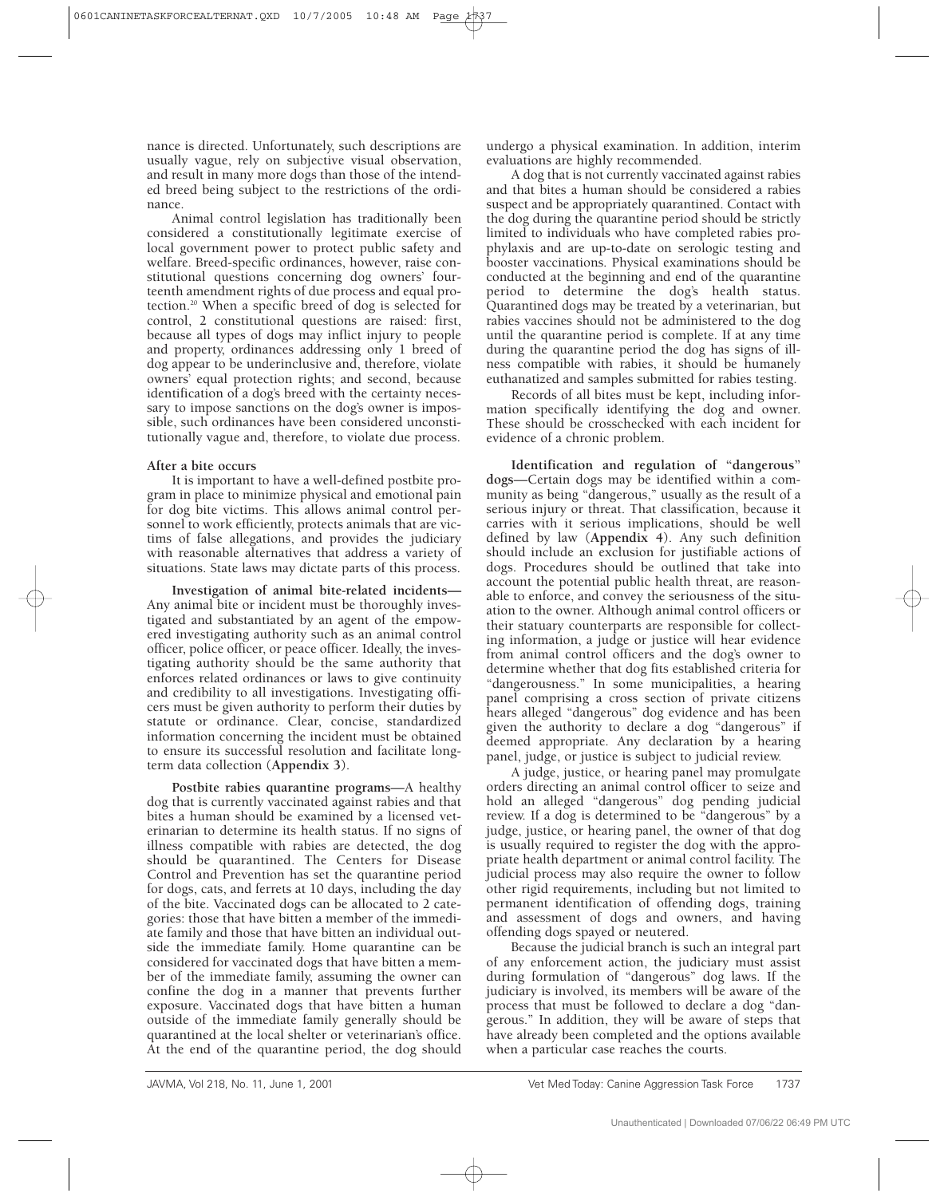nance is directed. Unfortunately, such descriptions are usually vague, rely on subjective visual observation, and result in many more dogs than those of the intended breed being subject to the restrictions of the ordinance.

Animal control legislation has traditionally been considered a constitutionally legitimate exercise of local government power to protect public safety and welfare. Breed-specific ordinances, however, raise constitutional questions concerning dog owners' fourteenth amendment rights of due process and equal protection.20 When a specific breed of dog is selected for control, 2 constitutional questions are raised: first, because all types of dogs may inflict injury to people and property, ordinances addressing only 1 breed of dog appear to be underinclusive and, therefore, violate owners' equal protection rights; and second, because identification of a dog's breed with the certainty necessary to impose sanctions on the dog's owner is impossible, such ordinances have been considered unconstitutionally vague and, therefore, to violate due process.

#### **After a bite occurs**

It is important to have a well-defined postbite program in place to minimize physical and emotional pain for dog bite victims. This allows animal control personnel to work efficiently, protects animals that are victims of false allegations, and provides the judiciary with reasonable alternatives that address a variety of situations. State laws may dictate parts of this process.

**Investigation of animal bite-related incidents—** Any animal bite or incident must be thoroughly investigated and substantiated by an agent of the empowered investigating authority such as an animal control officer, police officer, or peace officer. Ideally, the investigating authority should be the same authority that enforces related ordinances or laws to give continuity and credibility to all investigations. Investigating officers must be given authority to perform their duties by statute or ordinance. Clear, concise, standardized information concerning the incident must be obtained to ensure its successful resolution and facilitate longterm data collection (**Appendix 3**).

**Postbite rabies quarantine programs**—A healthy dog that is currently vaccinated against rabies and that bites a human should be examined by a licensed veterinarian to determine its health status. If no signs of illness compatible with rabies are detected, the dog should be quarantined. The Centers for Disease Control and Prevention has set the quarantine period for dogs, cats, and ferrets at 10 days, including the day of the bite. Vaccinated dogs can be allocated to 2 categories: those that have bitten a member of the immediate family and those that have bitten an individual outside the immediate family. Home quarantine can be considered for vaccinated dogs that have bitten a member of the immediate family, assuming the owner can confine the dog in a manner that prevents further exposure. Vaccinated dogs that have bitten a human outside of the immediate family generally should be quarantined at the local shelter or veterinarian's office. At the end of the quarantine period, the dog should

undergo a physical examination. In addition, interim evaluations are highly recommended.

A dog that is not currently vaccinated against rabies and that bites a human should be considered a rabies suspect and be appropriately quarantined. Contact with the dog during the quarantine period should be strictly limited to individuals who have completed rabies prophylaxis and are up-to-date on serologic testing and booster vaccinations. Physical examinations should be conducted at the beginning and end of the quarantine period to determine the dog's health status. Quarantined dogs may be treated by a veterinarian, but rabies vaccines should not be administered to the dog until the quarantine period is complete. If at any time during the quarantine period the dog has signs of illness compatible with rabies, it should be humanely euthanatized and samples submitted for rabies testing.

Records of all bites must be kept, including information specifically identifying the dog and owner. These should be crosschecked with each incident for evidence of a chronic problem.

**Identification and regulation of "dangerous" dogs**—Certain dogs may be identified within a community as being "dangerous," usually as the result of a serious injury or threat. That classification, because it carries with it serious implications, should be well defined by law (**Appendix 4**). Any such definition should include an exclusion for justifiable actions of dogs. Procedures should be outlined that take into account the potential public health threat, are reasonable to enforce, and convey the seriousness of the situation to the owner. Although animal control officers or their statuary counterparts are responsible for collecting information, a judge or justice will hear evidence from animal control officers and the dog's owner to determine whether that dog fits established criteria for "dangerousness." In some municipalities, a hearing panel comprising a cross section of private citizens hears alleged "dangerous" dog evidence and has been given the authority to declare a dog "dangerous" if deemed appropriate. Any declaration by a hearing panel, judge, or justice is subject to judicial review.

A judge, justice, or hearing panel may promulgate orders directing an animal control officer to seize and hold an alleged "dangerous" dog pending judicial review. If a dog is determined to be "dangerous" by a judge, justice, or hearing panel, the owner of that dog is usually required to register the dog with the appropriate health department or animal control facility. The judicial process may also require the owner to follow other rigid requirements, including but not limited to permanent identification of offending dogs, training and assessment of dogs and owners, and having offending dogs spayed or neutered.

Because the judicial branch is such an integral part of any enforcement action, the judiciary must assist during formulation of "dangerous" dog laws. If the judiciary is involved, its members will be aware of the process that must be followed to declare a dog "dangerous." In addition, they will be aware of steps that have already been completed and the options available when a particular case reaches the courts.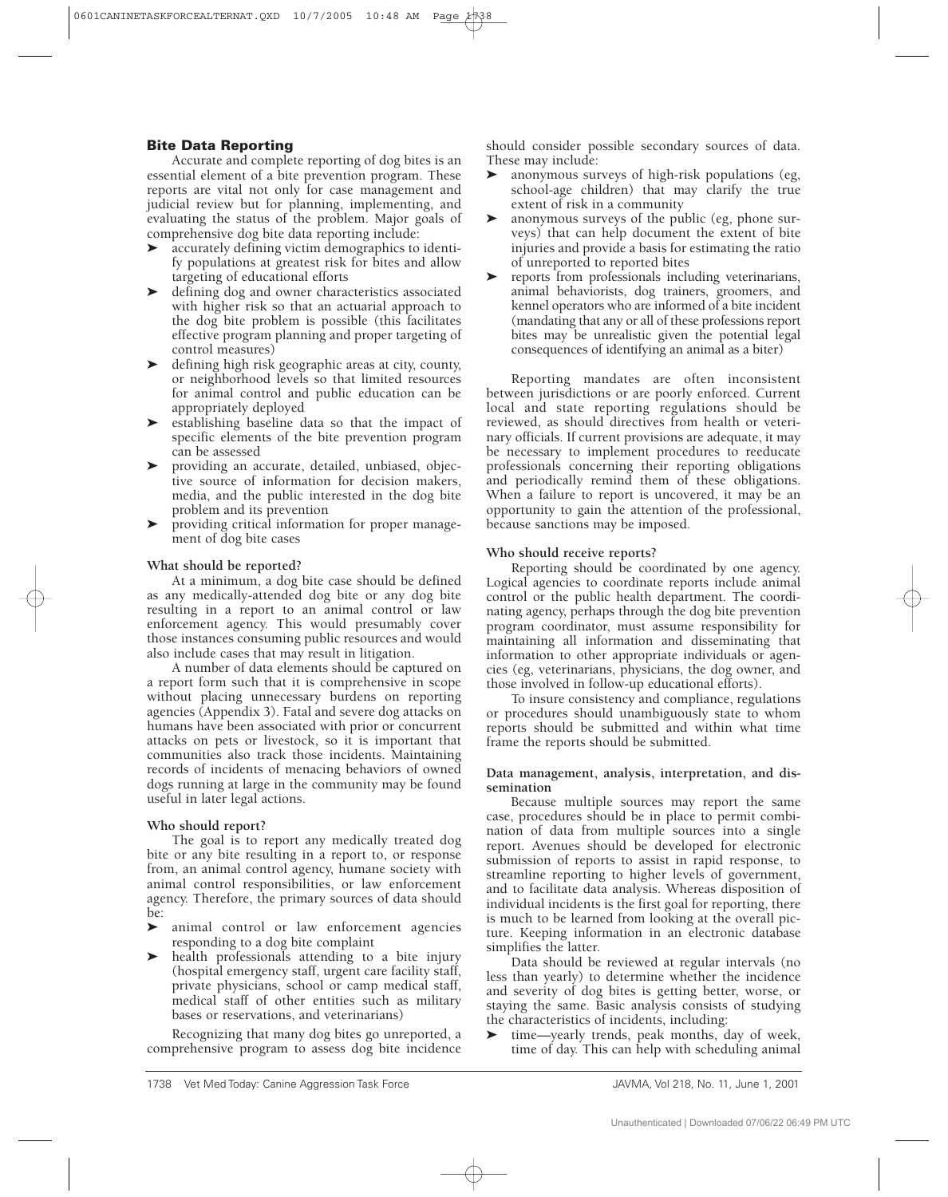## **Bite Data Reporting**

Accurate and complete reporting of dog bites is an essential element of a bite prevention program. These reports are vital not only for case management and judicial review but for planning, implementing, and evaluating the status of the problem. Major goals of comprehensive dog bite data reporting include:

- $\blacktriangleright$  accurately defining victim demographics to identify populations at greatest risk for bites and allow targeting of educational efforts
- ' defining dog and owner characteristics associated with higher risk so that an actuarial approach to the dog bite problem is possible (this facilitates effective program planning and proper targeting of control measures)
- ' defining high risk geographic areas at city, county, or neighborhood levels so that limited resources for animal control and public education can be appropriately deployed
- ' establishing baseline data so that the impact of specific elements of the bite prevention program can be assessed
- ' providing an accurate, detailed, unbiased, objective source of information for decision makers, media, and the public interested in the dog bite problem and its prevention
- ' providing critical information for proper management of dog bite cases

#### **What should be reported?**

At a minimum, a dog bite case should be defined as any medically-attended dog bite or any dog bite resulting in a report to an animal control or law enforcement agency. This would presumably cover those instances consuming public resources and would also include cases that may result in litigation.

A number of data elements should be captured on a report form such that it is comprehensive in scope without placing unnecessary burdens on reporting agencies (Appendix 3). Fatal and severe dog attacks on humans have been associated with prior or concurrent attacks on pets or livestock, so it is important that communities also track those incidents. Maintaining records of incidents of menacing behaviors of owned dogs running at large in the community may be found useful in later legal actions.

## **Who should report?**

The goal is to report any medically treated dog bite or any bite resulting in a report to, or response from, an animal control agency, humane society with animal control responsibilities, or law enforcement agency. Therefore, the primary sources of data should be:

- ' animal control or law enforcement agencies responding to a dog bite complaint
- ' health professionals attending to a bite injury (hospital emergency staff, urgent care facility staff, private physicians, school or camp medical staff, medical staff of other entities such as military bases or reservations, and veterinarians)

Recognizing that many dog bites go unreported, a comprehensive program to assess dog bite incidence should consider possible secondary sources of data. These may include:

- $\blacktriangleright$  anonymous surveys of high-risk populations (eg, school-age children) that may clarify the true extent of risk in a community
- ' anonymous surveys of the public (eg, phone surveys) that can help document the extent of bite injuries and provide a basis for estimating the ratio of unreported to reported bites
- ' reports from professionals including veterinarians, animal behaviorists, dog trainers, groomers, and kennel operators who are informed of a bite incident (mandating that any or all of these professions report bites may be unrealistic given the potential legal consequences of identifying an animal as a biter)

Reporting mandates are often inconsistent between jurisdictions or are poorly enforced. Current local and state reporting regulations should be reviewed, as should directives from health or veterinary officials. If current provisions are adequate, it may be necessary to implement procedures to reeducate professionals concerning their reporting obligations and periodically remind them of these obligations. When a failure to report is uncovered, it may be an opportunity to gain the attention of the professional, because sanctions may be imposed.

#### **Who should receive reports?**

Reporting should be coordinated by one agency. Logical agencies to coordinate reports include animal control or the public health department. The coordinating agency, perhaps through the dog bite prevention program coordinator, must assume responsibility for maintaining all information and disseminating that information to other appropriate individuals or agencies (eg, veterinarians, physicians, the dog owner, and those involved in follow-up educational efforts).

To insure consistency and compliance, regulations or procedures should unambiguously state to whom reports should be submitted and within what time frame the reports should be submitted.

#### **Data management, analysis, interpretation, and dissemination**

Because multiple sources may report the same case, procedures should be in place to permit combination of data from multiple sources into a single report. Avenues should be developed for electronic submission of reports to assist in rapid response, to streamline reporting to higher levels of government, and to facilitate data analysis. Whereas disposition of individual incidents is the first goal for reporting, there is much to be learned from looking at the overall picture. Keeping information in an electronic database simplifies the latter.

Data should be reviewed at regular intervals (no less than yearly) to determine whether the incidence and severity of dog bites is getting better, worse, or staying the same. Basic analysis consists of studying the characteristics of incidents, including:

' time—yearly trends, peak months, day of week, time of day. This can help with scheduling animal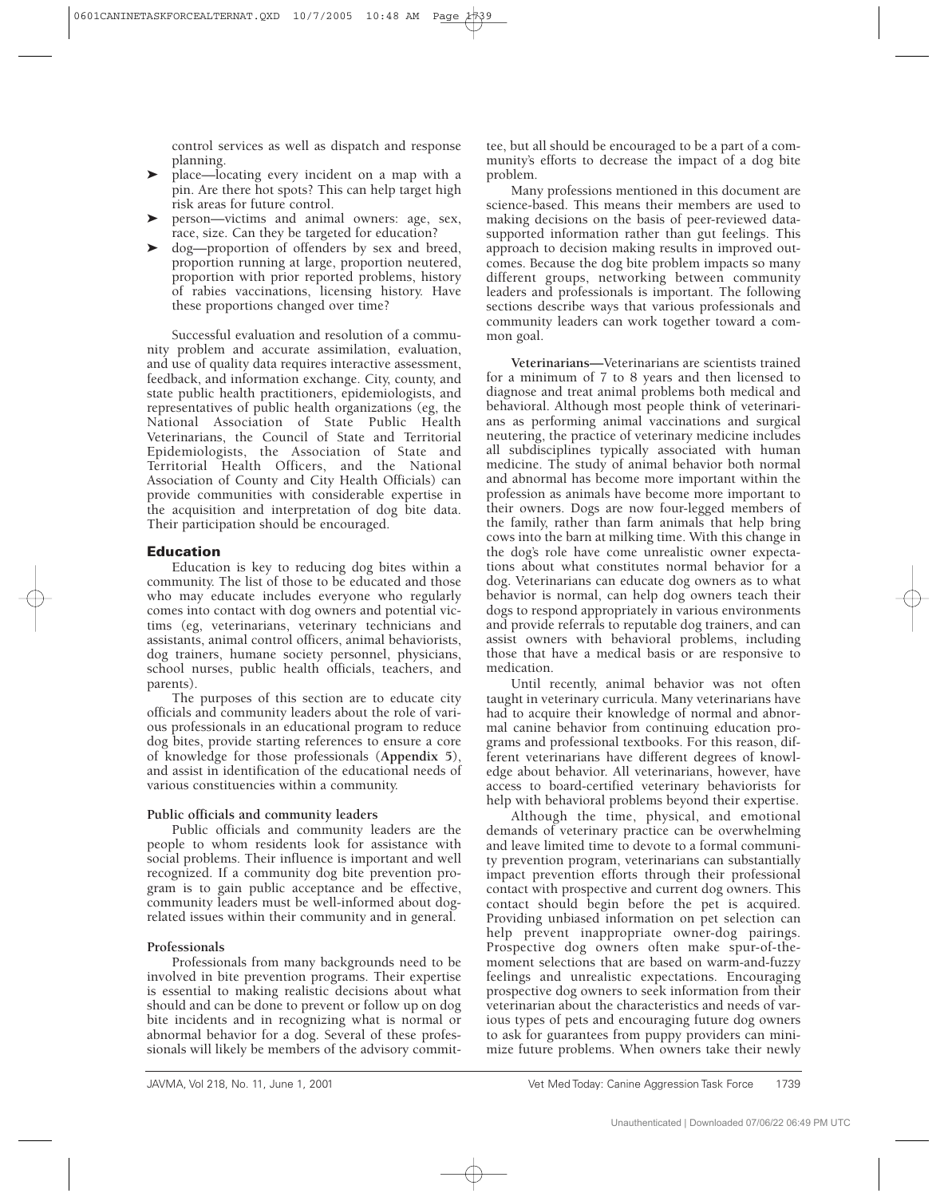control services as well as dispatch and response planning.

- ' place—locating every incident on a map with a pin. Are there hot spots? This can help target high risk areas for future control.
- ' person—victims and animal owners: age, sex, race, size. Can they be targeted for education?
- ' dog—proportion of offenders by sex and breed, proportion running at large, proportion neutered, proportion with prior reported problems, history of rabies vaccinations, licensing history. Have these proportions changed over time?

Successful evaluation and resolution of a community problem and accurate assimilation, evaluation, and use of quality data requires interactive assessment, feedback, and information exchange. City, county, and state public health practitioners, epidemiologists, and representatives of public health organizations (eg, the National Association of State Public Health Veterinarians, the Council of State and Territorial Epidemiologists, the Association of State and Territorial Health Officers, and the National Association of County and City Health Officials) can provide communities with considerable expertise in the acquisition and interpretation of dog bite data. Their participation should be encouraged.

## **Education**

Education is key to reducing dog bites within a community. The list of those to be educated and those who may educate includes everyone who regularly comes into contact with dog owners and potential victims (eg, veterinarians, veterinary technicians and assistants, animal control officers, animal behaviorists, dog trainers, humane society personnel, physicians, school nurses, public health officials, teachers, and parents).

The purposes of this section are to educate city officials and community leaders about the role of various professionals in an educational program to reduce dog bites, provide starting references to ensure a core of knowledge for those professionals (**Appendix 5**), and assist in identification of the educational needs of various constituencies within a community.

## **Public officials and community leaders**

Public officials and community leaders are the people to whom residents look for assistance with social problems. Their influence is important and well recognized. If a community dog bite prevention program is to gain public acceptance and be effective, community leaders must be well-informed about dogrelated issues within their community and in general.

## **Professionals**

Professionals from many backgrounds need to be involved in bite prevention programs. Their expertise is essential to making realistic decisions about what should and can be done to prevent or follow up on dog bite incidents and in recognizing what is normal or abnormal behavior for a dog. Several of these professionals will likely be members of the advisory committee, but all should be encouraged to be a part of a community's efforts to decrease the impact of a dog bite problem.

Many professions mentioned in this document are science-based. This means their members are used to making decisions on the basis of peer-reviewed datasupported information rather than gut feelings. This approach to decision making results in improved outcomes. Because the dog bite problem impacts so many different groups, networking between community leaders and professionals is important. The following sections describe ways that various professionals and community leaders can work together toward a common goal.

**Veterinarians—**Veterinarians are scientists trained for a minimum of 7 to 8 years and then licensed to diagnose and treat animal problems both medical and behavioral. Although most people think of veterinarians as performing animal vaccinations and surgical neutering, the practice of veterinary medicine includes all subdisciplines typically associated with human medicine. The study of animal behavior both normal and abnormal has become more important within the profession as animals have become more important to their owners. Dogs are now four-legged members of the family, rather than farm animals that help bring cows into the barn at milking time. With this change in the dog's role have come unrealistic owner expectations about what constitutes normal behavior for a dog. Veterinarians can educate dog owners as to what behavior is normal, can help dog owners teach their dogs to respond appropriately in various environments and provide referrals to reputable dog trainers, and can assist owners with behavioral problems, including those that have a medical basis or are responsive to medication.

Until recently, animal behavior was not often taught in veterinary curricula. Many veterinarians have had to acquire their knowledge of normal and abnormal canine behavior from continuing education programs and professional textbooks. For this reason, different veterinarians have different degrees of knowledge about behavior. All veterinarians, however, have access to board-certified veterinary behaviorists for help with behavioral problems beyond their expertise.

Although the time, physical, and emotional demands of veterinary practice can be overwhelming and leave limited time to devote to a formal community prevention program, veterinarians can substantially impact prevention efforts through their professional contact with prospective and current dog owners. This contact should begin before the pet is acquired. Providing unbiased information on pet selection can help prevent inappropriate owner-dog pairings. Prospective dog owners often make spur-of-themoment selections that are based on warm-and-fuzzy feelings and unrealistic expectations. Encouraging prospective dog owners to seek information from their veterinarian about the characteristics and needs of various types of pets and encouraging future dog owners to ask for guarantees from puppy providers can minimize future problems. When owners take their newly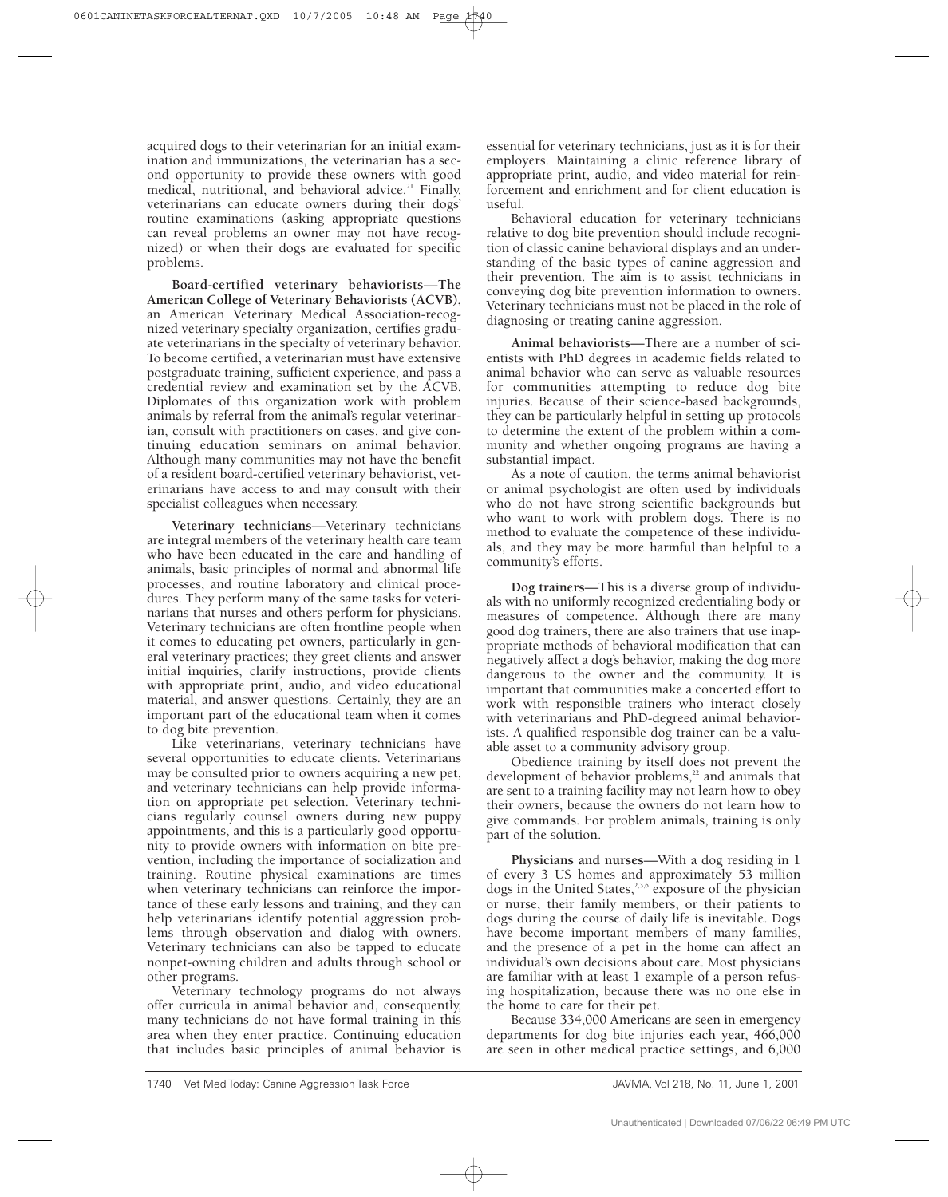acquired dogs to their veterinarian for an initial examination and immunizations, the veterinarian has a second opportunity to provide these owners with good medical, nutritional, and behavioral advice.<sup>21</sup> Finally, veterinarians can educate owners during their dogs' routine examinations (asking appropriate questions can reveal problems an owner may not have recognized) or when their dogs are evaluated for specific problems.

**Board-certified veterinary behaviorists**—**The American College of Veterinary Behaviorists (ACVB),** an American Veterinary Medical Association-recognized veterinary specialty organization, certifies graduate veterinarians in the specialty of veterinary behavior. To become certified, a veterinarian must have extensive postgraduate training, sufficient experience, and pass a credential review and examination set by the ACVB. Diplomates of this organization work with problem animals by referral from the animal's regular veterinarian, consult with practitioners on cases, and give continuing education seminars on animal behavior. Although many communities may not have the benefit of a resident board-certified veterinary behaviorist, veterinarians have access to and may consult with their specialist colleagues when necessary.

**Veterinary technicians**—Veterinary technicians are integral members of the veterinary health care team who have been educated in the care and handling of animals, basic principles of normal and abnormal life processes, and routine laboratory and clinical procedures. They perform many of the same tasks for veterinarians that nurses and others perform for physicians. Veterinary technicians are often frontline people when it comes to educating pet owners, particularly in general veterinary practices; they greet clients and answer initial inquiries, clarify instructions, provide clients with appropriate print, audio, and video educational material, and answer questions. Certainly, they are an important part of the educational team when it comes to dog bite prevention.

Like veterinarians, veterinary technicians have several opportunities to educate clients. Veterinarians may be consulted prior to owners acquiring a new pet, and veterinary technicians can help provide information on appropriate pet selection. Veterinary technicians regularly counsel owners during new puppy appointments, and this is a particularly good opportunity to provide owners with information on bite prevention, including the importance of socialization and training. Routine physical examinations are times when veterinary technicians can reinforce the importance of these early lessons and training, and they can help veterinarians identify potential aggression problems through observation and dialog with owners. Veterinary technicians can also be tapped to educate nonpet-owning children and adults through school or other programs.

Veterinary technology programs do not always offer curricula in animal behavior and, consequently, many technicians do not have formal training in this area when they enter practice. Continuing education that includes basic principles of animal behavior is

essential for veterinary technicians, just as it is for their employers. Maintaining a clinic reference library of appropriate print, audio, and video material for reinforcement and enrichment and for client education is useful.

Behavioral education for veterinary technicians relative to dog bite prevention should include recognition of classic canine behavioral displays and an understanding of the basic types of canine aggression and their prevention. The aim is to assist technicians in conveying dog bite prevention information to owners. Veterinary technicians must not be placed in the role of diagnosing or treating canine aggression.

**Animal behaviorists**—There are a number of scientists with PhD degrees in academic fields related to animal behavior who can serve as valuable resources for communities attempting to reduce dog bite injuries. Because of their science-based backgrounds, they can be particularly helpful in setting up protocols to determine the extent of the problem within a community and whether ongoing programs are having a substantial impact.

As a note of caution, the terms animal behaviorist or animal psychologist are often used by individuals who do not have strong scientific backgrounds but who want to work with problem dogs. There is no method to evaluate the competence of these individuals, and they may be more harmful than helpful to a community's efforts.

**Dog trainers**—This is a diverse group of individuals with no uniformly recognized credentialing body or measures of competence. Although there are many good dog trainers, there are also trainers that use inappropriate methods of behavioral modification that can negatively affect a dog's behavior, making the dog more dangerous to the owner and the community. It is important that communities make a concerted effort to work with responsible trainers who interact closely with veterinarians and PhD-degreed animal behaviorists. A qualified responsible dog trainer can be a valuable asset to a community advisory group.

Obedience training by itself does not prevent the development of behavior problems, $22$  and animals that are sent to a training facility may not learn how to obey their owners, because the owners do not learn how to give commands. For problem animals, training is only part of the solution.

**Physicians and nurses**—With a dog residing in 1 of every 3 US homes and approximately 53 million dogs in the United States,<sup>2,3,6</sup> exposure of the physician or nurse, their family members, or their patients to dogs during the course of daily life is inevitable. Dogs have become important members of many families, and the presence of a pet in the home can affect an individual's own decisions about care. Most physicians are familiar with at least 1 example of a person refusing hospitalization, because there was no one else in the home to care for their pet.

Because 334,000 Americans are seen in emergency departments for dog bite injuries each year, 466,000 are seen in other medical practice settings, and 6,000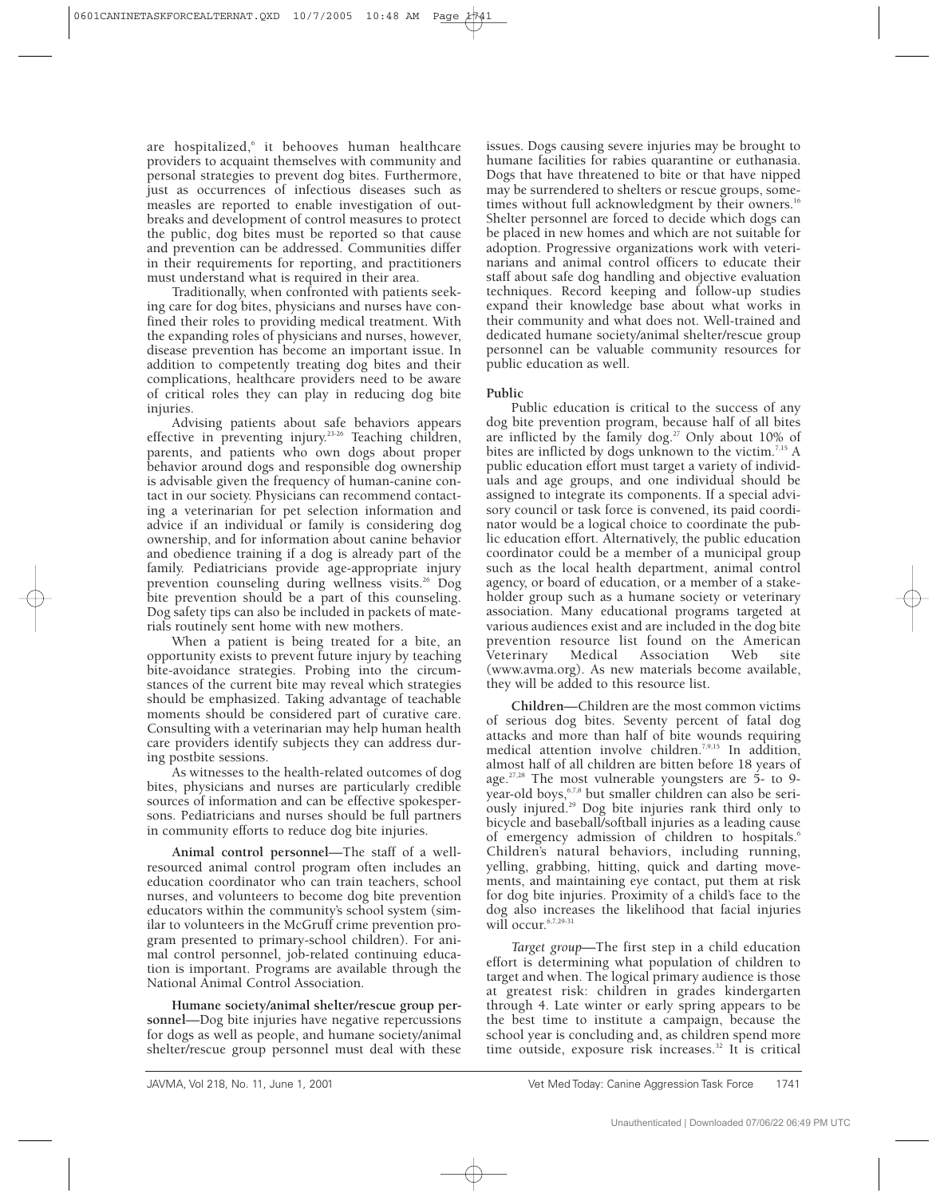are hospitalized,<sup>6</sup> it behooves human healthcare providers to acquaint themselves with community and personal strategies to prevent dog bites. Furthermore, just as occurrences of infectious diseases such as measles are reported to enable investigation of outbreaks and development of control measures to protect the public, dog bites must be reported so that cause and prevention can be addressed. Communities differ in their requirements for reporting, and practitioners must understand what is required in their area.

Traditionally, when confronted with patients seeking care for dog bites, physicians and nurses have confined their roles to providing medical treatment. With the expanding roles of physicians and nurses, however, disease prevention has become an important issue. In addition to competently treating dog bites and their complications, healthcare providers need to be aware of critical roles they can play in reducing dog bite injuries.

Advising patients about safe behaviors appears effective in preventing injury.<sup>23-26</sup> Teaching children, parents, and patients who own dogs about proper behavior around dogs and responsible dog ownership is advisable given the frequency of human-canine contact in our society. Physicians can recommend contacting a veterinarian for pet selection information and advice if an individual or family is considering dog ownership, and for information about canine behavior and obedience training if a dog is already part of the family. Pediatricians provide age-appropriate injury prevention counseling during wellness visits.<sup>26</sup> Dog bite prevention should be a part of this counseling. Dog safety tips can also be included in packets of materials routinely sent home with new mothers.

When a patient is being treated for a bite, an opportunity exists to prevent future injury by teaching bite-avoidance strategies. Probing into the circumstances of the current bite may reveal which strategies should be emphasized. Taking advantage of teachable moments should be considered part of curative care. Consulting with a veterinarian may help human health care providers identify subjects they can address during postbite sessions.

As witnesses to the health-related outcomes of dog bites, physicians and nurses are particularly credible sources of information and can be effective spokespersons. Pediatricians and nurses should be full partners in community efforts to reduce dog bite injuries.

**Animal control personnel**—The staff of a wellresourced animal control program often includes an education coordinator who can train teachers, school nurses, and volunteers to become dog bite prevention educators within the community's school system (similar to volunteers in the McGruff crime prevention program presented to primary-school children). For animal control personnel, job-related continuing education is important. Programs are available through the National Animal Control Association.

**Humane society/animal shelter/rescue group personnel**—Dog bite injuries have negative repercussions for dogs as well as people, and humane society/animal shelter/rescue group personnel must deal with these issues. Dogs causing severe injuries may be brought to humane facilities for rabies quarantine or euthanasia. Dogs that have threatened to bite or that have nipped may be surrendered to shelters or rescue groups, sometimes without full acknowledgment by their owners.<sup>16</sup> Shelter personnel are forced to decide which dogs can be placed in new homes and which are not suitable for adoption. Progressive organizations work with veterinarians and animal control officers to educate their staff about safe dog handling and objective evaluation techniques. Record keeping and follow-up studies expand their knowledge base about what works in their community and what does not. Well-trained and dedicated humane society/animal shelter/rescue group personnel can be valuable community resources for public education as well.

#### **Public**

Public education is critical to the success of any dog bite prevention program, because half of all bites are inflicted by the family dog.<sup>27</sup> Only about  $10\%$  of bites are inflicted by dogs unknown to the victim.<sup>7,15</sup> A public education effort must target a variety of individuals and age groups, and one individual should be assigned to integrate its components. If a special advisory council or task force is convened, its paid coordinator would be a logical choice to coordinate the public education effort. Alternatively, the public education coordinator could be a member of a municipal group such as the local health department, animal control agency, or board of education, or a member of a stakeholder group such as a humane society or veterinary association. Many educational programs targeted at various audiences exist and are included in the dog bite prevention resource list found on the American Veterinary Medical Association Web site (www.avma.org). As new materials become available, they will be added to this resource list.

**Children**—Children are the most common victims of serious dog bites. Seventy percent of fatal dog attacks and more than half of bite wounds requiring medical attention involve children.<sup>7,9,15</sup> In addition, almost half of all children are bitten before 18 years of age.<sup>27,28</sup> The most vulnerable youngsters are 5- to 9year-old boys,<sup>6,7,8</sup> but smaller children can also be seriously injured.29 Dog bite injuries rank third only to bicycle and baseball/softball injuries as a leading cause of emergency admission of children to hospitals.<sup>6</sup> Children's natural behaviors, including running, yelling, grabbing, hitting, quick and darting movements, and maintaining eye contact, put them at risk for dog bite injuries. Proximity of a child's face to the dog also increases the likelihood that facial injuries will occur.  $6,7,29-31$ 

*Target group*—The first step in a child education effort is determining what population of children to target and when. The logical primary audience is those at greatest risk: children in grades kindergarten through 4. Late winter or early spring appears to be the best time to institute a campaign, because the school year is concluding and, as children spend more time outside, exposure risk increases.<sup>32</sup> It is critical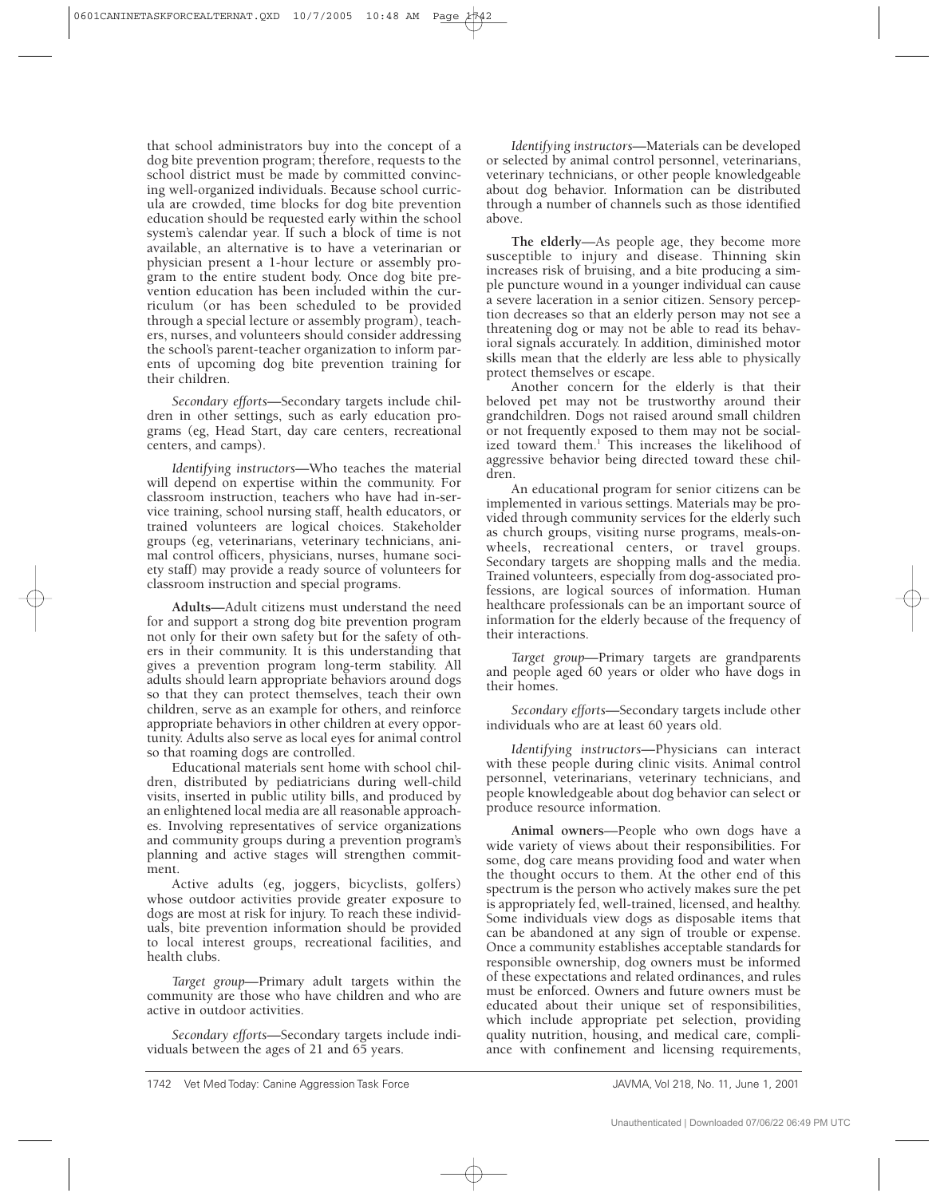that school administrators buy into the concept of a dog bite prevention program; therefore, requests to the school district must be made by committed convincing well-organized individuals. Because school curricula are crowded, time blocks for dog bite prevention education should be requested early within the school system's calendar year. If such a block of time is not available, an alternative is to have a veterinarian or physician present a 1-hour lecture or assembly program to the entire student body. Once dog bite prevention education has been included within the curriculum (or has been scheduled to be provided through a special lecture or assembly program), teachers, nurses, and volunteers should consider addressing the school's parent-teacher organization to inform parents of upcoming dog bite prevention training for their children.

*Secondary efforts*—Secondary targets include children in other settings, such as early education programs (eg, Head Start, day care centers, recreational centers, and camps).

*Identifying instructors*—Who teaches the material will depend on expertise within the community. For classroom instruction, teachers who have had in-service training, school nursing staff, health educators, or trained volunteers are logical choices. Stakeholder groups (eg, veterinarians, veterinary technicians, animal control officers, physicians, nurses, humane society staff) may provide a ready source of volunteers for classroom instruction and special programs.

**Adults**—Adult citizens must understand the need for and support a strong dog bite prevention program not only for their own safety but for the safety of others in their community. It is this understanding that gives a prevention program long-term stability. All adults should learn appropriate behaviors around dogs so that they can protect themselves, teach their own children, serve as an example for others, and reinforce appropriate behaviors in other children at every opportunity. Adults also serve as local eyes for animal control so that roaming dogs are controlled.

Educational materials sent home with school children, distributed by pediatricians during well-child visits, inserted in public utility bills, and produced by an enlightened local media are all reasonable approaches. Involving representatives of service organizations and community groups during a prevention program's planning and active stages will strengthen commitment.

Active adults (eg, joggers, bicyclists, golfers) whose outdoor activities provide greater exposure to dogs are most at risk for injury. To reach these individuals, bite prevention information should be provided to local interest groups, recreational facilities, and health clubs.

*Target group—*Primary adult targets within the community are those who have children and who are active in outdoor activities.

*Secondary efforts—*Secondary targets include individuals between the ages of 21 and 65 years.

*Identifying instructors*—Materials can be developed or selected by animal control personnel, veterinarians, veterinary technicians, or other people knowledgeable about dog behavior. Information can be distributed through a number of channels such as those identified above.

**The elderly**—As people age, they become more susceptible to injury and disease. Thinning skin increases risk of bruising, and a bite producing a simple puncture wound in a younger individual can cause a severe laceration in a senior citizen. Sensory perception decreases so that an elderly person may not see a threatening dog or may not be able to read its behavioral signals accurately. In addition, diminished motor skills mean that the elderly are less able to physically protect themselves or escape.

Another concern for the elderly is that their beloved pet may not be trustworthy around their grandchildren. Dogs not raised around small children or not frequently exposed to them may not be socialized toward them.<sup>1</sup> This increases the likelihood of aggressive behavior being directed toward these children.

An educational program for senior citizens can be implemented in various settings. Materials may be provided through community services for the elderly such as church groups, visiting nurse programs, meals-onwheels, recreational centers, or travel groups. Secondary targets are shopping malls and the media. Trained volunteers, especially from dog-associated professions, are logical sources of information. Human healthcare professionals can be an important source of information for the elderly because of the frequency of their interactions.

*Target group—*Primary targets are grandparents and people aged 60 years or older who have dogs in their homes.

*Secondary efforts—*Secondary targets include other individuals who are at least 60 years old.

*Identifying instructors*—Physicians can interact with these people during clinic visits. Animal control personnel, veterinarians, veterinary technicians, and people knowledgeable about dog behavior can select or produce resource information.

**Animal owners**—People who own dogs have a wide variety of views about their responsibilities. For some, dog care means providing food and water when the thought occurs to them. At the other end of this spectrum is the person who actively makes sure the pet is appropriately fed, well-trained, licensed, and healthy. Some individuals view dogs as disposable items that can be abandoned at any sign of trouble or expense. Once a community establishes acceptable standards for responsible ownership, dog owners must be informed of these expectations and related ordinances, and rules must be enforced. Owners and future owners must be educated about their unique set of responsibilities, which include appropriate pet selection, providing quality nutrition, housing, and medical care, compliance with confinement and licensing requirements,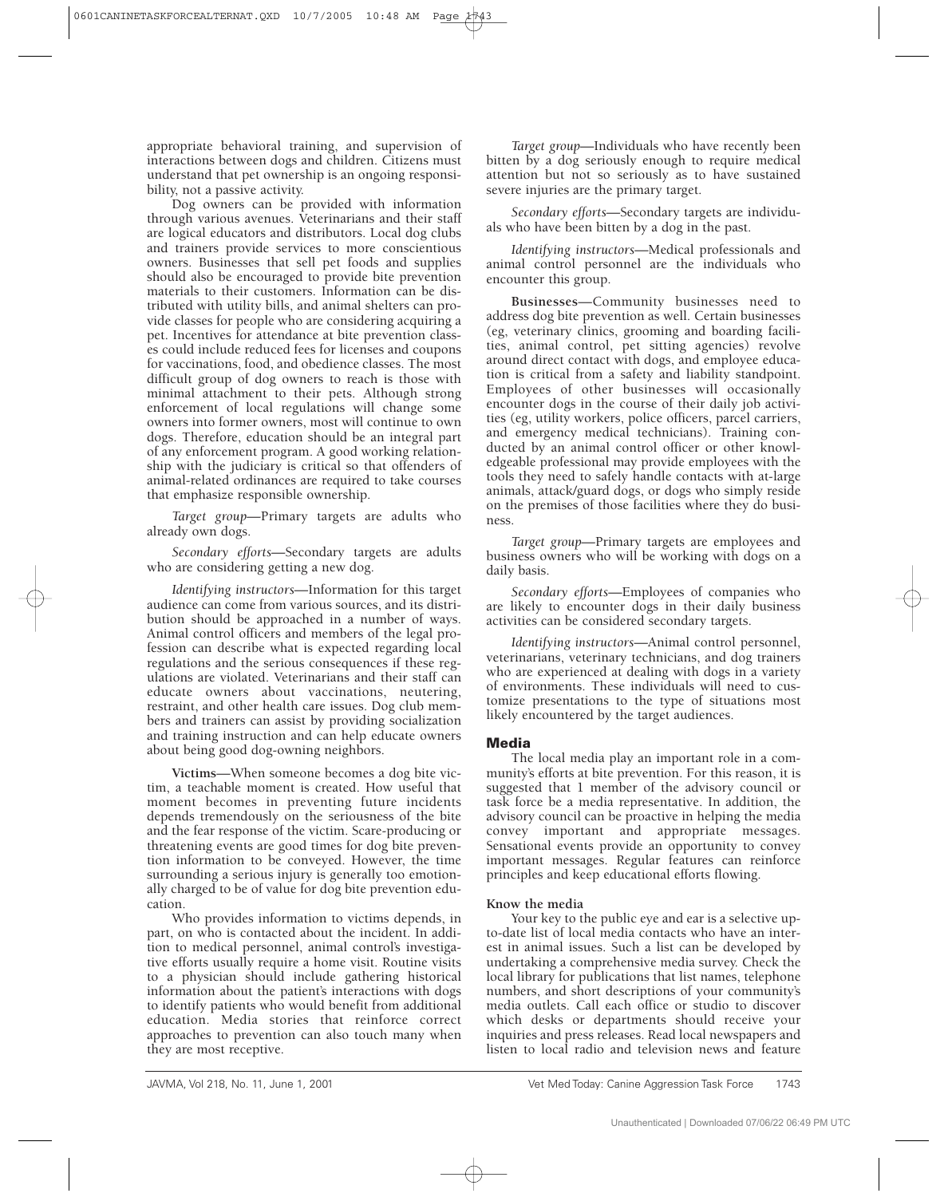appropriate behavioral training, and supervision of interactions between dogs and children. Citizens must understand that pet ownership is an ongoing responsibility, not a passive activity.

Dog owners can be provided with information through various avenues. Veterinarians and their staff are logical educators and distributors. Local dog clubs and trainers provide services to more conscientious owners. Businesses that sell pet foods and supplies should also be encouraged to provide bite prevention materials to their customers. Information can be distributed with utility bills, and animal shelters can provide classes for people who are considering acquiring a pet. Incentives for attendance at bite prevention classes could include reduced fees for licenses and coupons for vaccinations, food, and obedience classes. The most difficult group of dog owners to reach is those with minimal attachment to their pets. Although strong enforcement of local regulations will change some owners into former owners, most will continue to own dogs. Therefore, education should be an integral part of any enforcement program. A good working relationship with the judiciary is critical so that offenders of animal-related ordinances are required to take courses that emphasize responsible ownership.

*Target group—*Primary targets are adults who already own dogs.

*Secondary efforts—*Secondary targets are adults who are considering getting a new dog.

*Identifying instructors*—Information for this target audience can come from various sources, and its distribution should be approached in a number of ways. Animal control officers and members of the legal profession can describe what is expected regarding local regulations and the serious consequences if these regulations are violated. Veterinarians and their staff can educate owners about vaccinations, neutering, restraint, and other health care issues. Dog club members and trainers can assist by providing socialization and training instruction and can help educate owners about being good dog-owning neighbors.

**Victims**—When someone becomes a dog bite victim, a teachable moment is created. How useful that moment becomes in preventing future incidents depends tremendously on the seriousness of the bite and the fear response of the victim. Scare-producing or threatening events are good times for dog bite prevention information to be conveyed. However, the time surrounding a serious injury is generally too emotionally charged to be of value for dog bite prevention education.

Who provides information to victims depends, in part, on who is contacted about the incident. In addition to medical personnel, animal control's investigative efforts usually require a home visit. Routine visits to a physician should include gathering historical information about the patient's interactions with dogs to identify patients who would benefit from additional education. Media stories that reinforce correct approaches to prevention can also touch many when they are most receptive.

*Target group*—Individuals who have recently been bitten by a dog seriously enough to require medical attention but not so seriously as to have sustained severe injuries are the primary target.

*Secondary efforts—*Secondary targets are individuals who have been bitten by a dog in the past.

*Identifying instructors*—Medical professionals and animal control personnel are the individuals who encounter this group.

**Businesses**—Community businesses need to address dog bite prevention as well. Certain businesses (eg, veterinary clinics, grooming and boarding facilities, animal control, pet sitting agencies) revolve around direct contact with dogs, and employee education is critical from a safety and liability standpoint. Employees of other businesses will occasionally encounter dogs in the course of their daily job activities (eg, utility workers, police officers, parcel carriers, and emergency medical technicians). Training conducted by an animal control officer or other knowledgeable professional may provide employees with the tools they need to safely handle contacts with at-large animals, attack/guard dogs, or dogs who simply reside on the premises of those facilities where they do business.

*Target group—*Primary targets are employees and business owners who will be working with dogs on a daily basis.

*Secondary efforts*—Employees of companies who are likely to encounter dogs in their daily business activities can be considered secondary targets.

*Identifying instructors*—Animal control personnel, veterinarians, veterinary technicians, and dog trainers who are experienced at dealing with dogs in a variety of environments. These individuals will need to customize presentations to the type of situations most likely encountered by the target audiences.

## **Media**

The local media play an important role in a community's efforts at bite prevention. For this reason, it is suggested that 1 member of the advisory council or task force be a media representative. In addition, the advisory council can be proactive in helping the media convey important and appropriate messages. Sensational events provide an opportunity to convey important messages. Regular features can reinforce principles and keep educational efforts flowing.

#### **Know the media**

Your key to the public eye and ear is a selective upto-date list of local media contacts who have an interest in animal issues. Such a list can be developed by undertaking a comprehensive media survey. Check the local library for publications that list names, telephone numbers, and short descriptions of your community's media outlets. Call each office or studio to discover which desks or departments should receive your inquiries and press releases. Read local newspapers and listen to local radio and television news and feature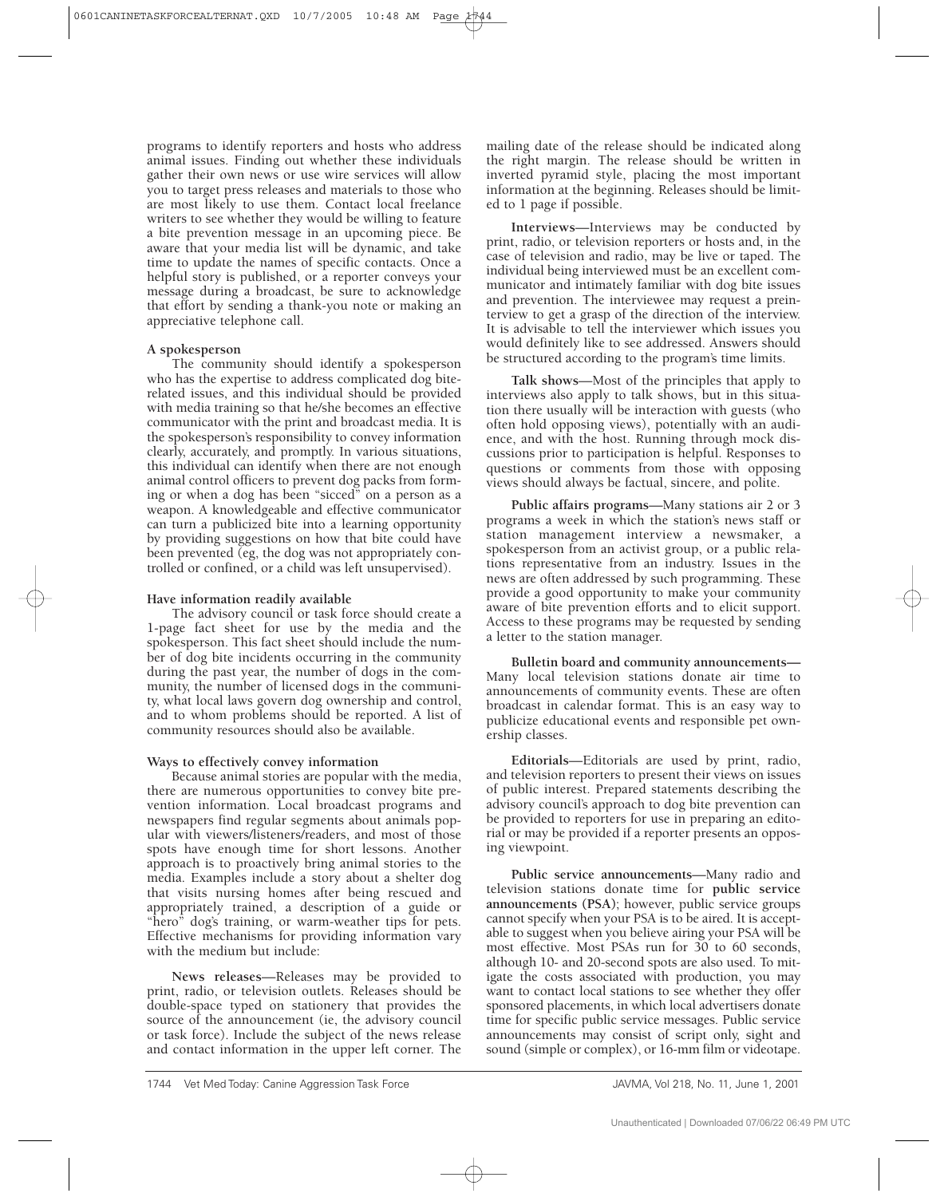programs to identify reporters and hosts who address animal issues. Finding out whether these individuals gather their own news or use wire services will allow you to target press releases and materials to those who are most likely to use them. Contact local freelance writers to see whether they would be willing to feature a bite prevention message in an upcoming piece. Be aware that your media list will be dynamic, and take time to update the names of specific contacts. Once a helpful story is published, or a reporter conveys your message during a broadcast, be sure to acknowledge that effort by sending a thank-you note or making an appreciative telephone call.

## **A spokesperson**

The community should identify a spokesperson who has the expertise to address complicated dog biterelated issues, and this individual should be provided with media training so that he/she becomes an effective communicator with the print and broadcast media. It is the spokesperson's responsibility to convey information clearly, accurately, and promptly. In various situations, this individual can identify when there are not enough animal control officers to prevent dog packs from forming or when a dog has been "sicced" on a person as a weapon. A knowledgeable and effective communicator can turn a publicized bite into a learning opportunity by providing suggestions on how that bite could have been prevented (eg, the dog was not appropriately controlled or confined, or a child was left unsupervised).

#### **Have information readily available**

The advisory council or task force should create a 1-page fact sheet for use by the media and the spokesperson. This fact sheet should include the number of dog bite incidents occurring in the community during the past year, the number of dogs in the community, the number of licensed dogs in the community, what local laws govern dog ownership and control, and to whom problems should be reported. A list of community resources should also be available.

#### **Ways to effectively convey information**

Because animal stories are popular with the media, there are numerous opportunities to convey bite prevention information. Local broadcast programs and newspapers find regular segments about animals popular with viewers/listeners/readers, and most of those spots have enough time for short lessons. Another approach is to proactively bring animal stories to the media. Examples include a story about a shelter dog that visits nursing homes after being rescued and appropriately trained, a description of a guide or "hero" dog's training, or warm-weather tips for pets. Effective mechanisms for providing information vary with the medium but include:

**News releases**—Releases may be provided to print, radio, or television outlets. Releases should be double-space typed on stationery that provides the source of the announcement (ie, the advisory council or task force). Include the subject of the news release and contact information in the upper left corner. The mailing date of the release should be indicated along the right margin. The release should be written in inverted pyramid style, placing the most important information at the beginning. Releases should be limited to 1 page if possible.

**Interviews**—Interviews may be conducted by print, radio, or television reporters or hosts and, in the case of television and radio, may be live or taped. The individual being interviewed must be an excellent communicator and intimately familiar with dog bite issues and prevention. The interviewee may request a preinterview to get a grasp of the direction of the interview. It is advisable to tell the interviewer which issues you would definitely like to see addressed. Answers should be structured according to the program's time limits.

**Talk shows**—Most of the principles that apply to interviews also apply to talk shows, but in this situation there usually will be interaction with guests (who often hold opposing views), potentially with an audience, and with the host. Running through mock discussions prior to participation is helpful. Responses to questions or comments from those with opposing views should always be factual, sincere, and polite.

**Public affairs programs**—Many stations air 2 or 3 programs a week in which the station's news staff or station management interview a newsmaker, a spokesperson from an activist group, or a public relations representative from an industry. Issues in the news are often addressed by such programming. These provide a good opportunity to make your community aware of bite prevention efforts and to elicit support. Access to these programs may be requested by sending a letter to the station manager.

**Bulletin board and community announcements—** Many local television stations donate air time to announcements of community events. These are often broadcast in calendar format. This is an easy way to publicize educational events and responsible pet ownership classes.

**Editorials**—Editorials are used by print, radio, and television reporters to present their views on issues of public interest. Prepared statements describing the advisory council's approach to dog bite prevention can be provided to reporters for use in preparing an editorial or may be provided if a reporter presents an opposing viewpoint.

**Public service announcements**—Many radio and television stations donate time for **public service announcements (PSA)**; however, public service groups cannot specify when your PSA is to be aired. It is acceptable to suggest when you believe airing your PSA will be most effective. Most PSAs run for 30 to 60 seconds, although 10- and 20-second spots are also used. To mitigate the costs associated with production, you may want to contact local stations to see whether they offer sponsored placements, in which local advertisers donate time for specific public service messages. Public service announcements may consist of script only, sight and sound (simple or complex), or 16-mm film or videotape.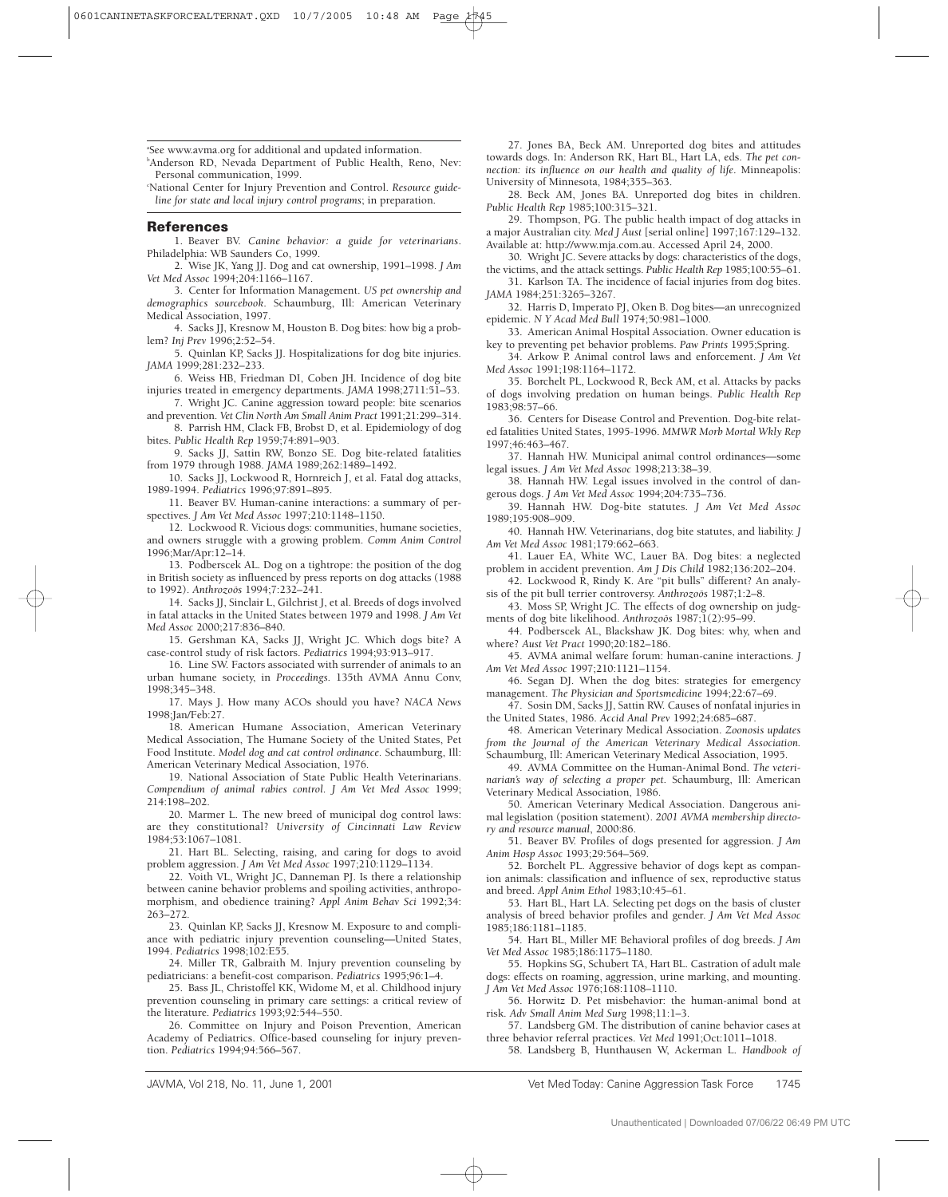a See www.avma.org for additional and updated information.

b Anderson RD, Nevada Department of Public Health, Reno, Nev: Personal communication, 1999.

c National Center for Injury Prevention and Control. *Resource guideline for state and local injury control programs*; in preparation.

#### **References**

1. Beaver BV. *Canine behavior: a guide for veterinarians*. Philadelphia: WB Saunders Co, 1999.

2. Wise JK, Yang JJ. Dog and cat ownership, 1991–1998. *J Am Vet Med Assoc* 1994;204:1166–1167.

3. Center for Information Management. *US pet ownership and demographics sourcebook*. Schaumburg, Ill: American Veterinary Medical Association, 1997.

4. Sacks JJ, Kresnow M, Houston B. Dog bites: how big a problem? *Inj Prev* 1996;2:52–54.

5. Quinlan KP, Sacks JJ. Hospitalizations for dog bite injuries. *JAMA* 1999;281:232–233.

6. Weiss HB, Friedman DI, Coben JH. Incidence of dog bite injuries treated in emergency departments. *JAMA* 1998;2711:51–53.

7. Wright JC. Canine aggression toward people: bite scenarios and prevention. *Vet Clin North Am Small Anim Pract* 1991;21:299–314.

8. Parrish HM, Clack FB, Brobst D, et al. Epidemiology of dog bites. *Public Health Rep* 1959;74:891–903.

9. Sacks JJ, Sattin RW, Bonzo SE. Dog bite-related fatalities from 1979 through 1988. *JAMA* 1989;262:1489–1492.

10. Sacks JJ, Lockwood R, Hornreich J, et al. Fatal dog attacks, 1989-1994. *Pediatrics* 1996;97:891–895.

11. Beaver BV. Human-canine interactions: a summary of perspectives. *J Am Vet Med Assoc* 1997;210:1148–1150.

12. Lockwood R. Vicious dogs: communities, humane societies, and owners struggle with a growing problem. *Comm Anim Control* 1996;Mar/Apr:12–14.

13. Podberscek AL. Dog on a tightrope: the position of the dog in British society as influenced by press reports on dog attacks (1988 to 1992). *Anthrozoös* 1994;7:232–241.

14. Sacks JJ, Sinclair L, Gilchrist J, et al. Breeds of dogs involved in fatal attacks in the United States between 1979 and 1998. *J Am Vet Med Assoc* 2000;217:836–840.

15. Gershman KA, Sacks JJ, Wright JC. Which dogs bite? A case-control study of risk factors. *Pediatrics* 1994;93:913–917.

16. Line SW. Factors associated with surrender of animals to an urban humane society, in *Proceedings*. 135th AVMA Annu Conv, 1998;345–348.

17. Mays J. How many ACOs should you have? *NACA News* 1998;Jan/Feb:27.

18. American Humane Association, American Veterinary Medical Association, The Humane Society of the United States, Pet Food Institute. *Model dog and cat control ordinance.* Schaumburg, Ill: American Veterinary Medical Association, 1976.

19. National Association of State Public Health Veterinarians. *Compendium of animal rabies control*. *J Am Vet Med Assoc* 1999; 214:198–202.

20. Marmer L. The new breed of municipal dog control laws: are they constitutional? *University of Cincinnati Law Review* 1984;53:1067–1081.

21. Hart BL. Selecting, raising, and caring for dogs to avoid problem aggression. *J Am Vet Med Assoc* 1997;210:1129–1134.

22. Voith VL, Wright JC, Danneman PJ. Is there a relationship between canine behavior problems and spoiling activities, anthropomorphism, and obedience training? *Appl Anim Behav Sci* 1992;34: 263–272.

23. Quinlan KP, Sacks JJ, Kresnow M. Exposure to and compliance with pediatric injury prevention counseling—United States, 1994. *Pediatrics* 1998;102:E55.

24. Miller TR, Galbraith M. Injury prevention counseling by pediatricians: a benefit-cost comparison. *Pediatrics* 1995;96:1–4.

25. Bass JL, Christoffel KK, Widome M, et al. Childhood injury prevention counseling in primary care settings: a critical review of the literature. *Pediatrics* 1993;92:544–550.

26. Committee on Injury and Poison Prevention, American Academy of Pediatrics. Office-based counseling for injury prevention. *Pediatrics* 1994;94:566–567.

27. Jones BA, Beck AM. Unreported dog bites and attitudes towards dogs. In: Anderson RK, Hart BL, Hart LA, eds. *The pet connection: its influence on our health and quality of life*. Minneapolis: University of Minnesota, 1984;355–363.

28. Beck AM, Jones BA. Unreported dog bites in children. *Public Health Rep* 1985;100:315–321.

29. Thompson, PG. The public health impact of dog attacks in a major Australian city. *Med J Aust* [serial online] 1997;167:129–132. Available at: http://www.mja.com.au. Accessed April 24, 2000.

30. Wright JC. Severe attacks by dogs: characteristics of the dogs, the victims, and the attack settings. *Public Health Rep* 1985;100:55–61.

31. Karlson TA. The incidence of facial injuries from dog bites. *JAMA* 1984;251:3265–3267.

32. Harris D, Imperato PJ, Oken B. Dog bites—an unrecognized epidemic. *N Y Acad Med Bull* 1974;50:981–1000.

33. American Animal Hospital Association. Owner education is key to preventing pet behavior problems. *Paw Prints* 1995;Spring.

34. Arkow P. Animal control laws and enforcement. *J Am Vet Med Assoc* 1991;198:1164–1172.

35. Borchelt PL, Lockwood R, Beck AM, et al. Attacks by packs of dogs involving predation on human beings. *Public Health Rep* 1983;98:57–66.

36. Centers for Disease Control and Prevention. Dog-bite related fatalities United States, 1995-1996. *MMWR Morb Mortal Wkly Rep* 1997;46:463–467.

37. Hannah HW. Municipal animal control ordinances—some legal issues. *J Am Vet Med Assoc* 1998;213:38–39.

38. Hannah HW. Legal issues involved in the control of dangerous dogs. *J Am Vet Med Assoc* 1994;204:735–736.

39. Hannah HW. Dog-bite statutes. *J Am Vet Med Assoc* 1989;195:908–909.

40. Hannah HW. Veterinarians, dog bite statutes, and liability. *J Am Vet Med Assoc* 1981;179:662–663.

41. Lauer EA, White WC, Lauer BA. Dog bites: a neglected problem in accident prevention. *Am J Dis Child* 1982;136:202–204.

42. Lockwood R, Rindy K. Are "pit bulls" different? An analysis of the pit bull terrier controversy. *Anthrozoös* 1987;1:2–8.

43. Moss SP, Wright JC. The effects of dog ownership on judgments of dog bite likelihood. *Anthrozoös* 1987;1(2):95–99.

44. Podberscek AL, Blackshaw JK. Dog bites: why, when and where? *Aust Vet Pract* 1990;20:182–186.

45. AVMA animal welfare forum: human-canine interactions. *J Am Vet Med Assoc* 1997;210:1121–1154.

46. Segan DJ. When the dog bites: strategies for emergency management. *The Physician and Sportsmedicine* 1994;22:67–69.

47. Sosin DM, Sacks JJ, Sattin RW. Causes of nonfatal injuries in the United States, 1986. *Accid Anal Prev* 1992;24:685–687.

48. American Veterinary Medical Association. *Zoonosis updates from the Journal of the American Veterinary Medical Association.* Schaumburg, Ill: American Veterinary Medical Association, 1995.

49. AVMA Committee on the Human-Animal Bond. *The veterinarian's way of selecting a proper pet*. Schaumburg, Ill: American Veterinary Medical Association, 1986.

50. American Veterinary Medical Association. Dangerous animal legislation (position statement). *2001 AVMA membership directory and resource manual*, 2000:86.

51. Beaver BV. Profiles of dogs presented for aggression. *J Am Anim Hosp Assoc* 1993;29:564–569.

52. Borchelt PL. Aggressive behavior of dogs kept as companion animals: classification and influence of sex, reproductive status and breed. *Appl Anim Ethol* 1983;10:45–61.

53. Hart BL, Hart LA. Selecting pet dogs on the basis of cluster analysis of breed behavior profiles and gender. *J Am Vet Med Assoc* 1985;186:1181–1185.

54. Hart BL, Miller MF. Behavioral profiles of dog breeds. *J Am Vet Med Assoc* 1985;186:1175–1180.

55. Hopkins SG, Schubert TA, Hart BL. Castration of adult male dogs: effects on roaming, aggression, urine marking, and mounting. *J Am Vet Med Assoc* 1976;168:1108–1110.

56. Horwitz D. Pet misbehavior: the human-animal bond at risk. *Adv Small Anim Med Surg* 1998;11:1–3.

57. Landsberg GM. The distribution of canine behavior cases at three behavior referral practices. *Vet Med* 1991;Oct:1011–1018.

58. Landsberg B, Hunthausen W, Ackerman L. *Handbook of*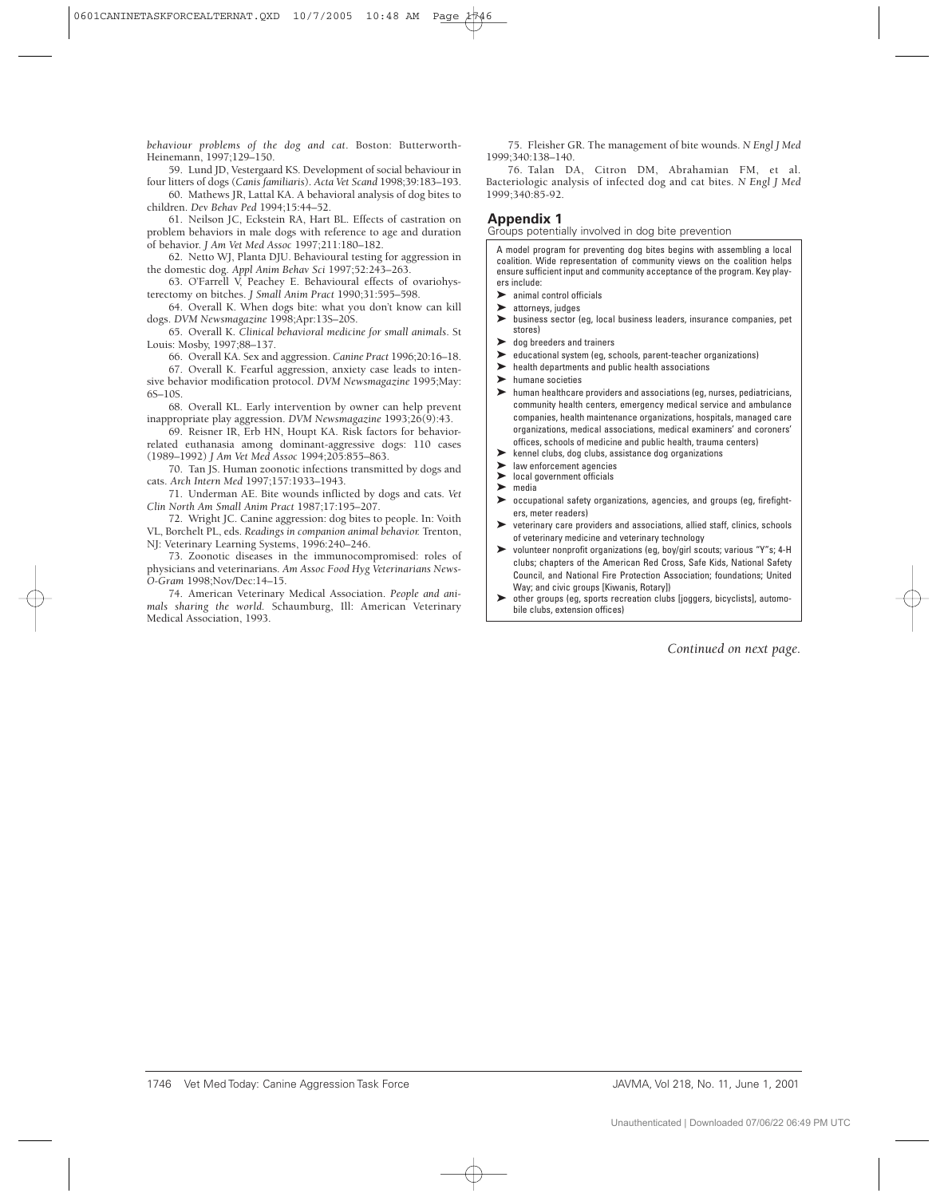*behaviour problems of the dog and cat*. Boston: Butterworth-Heinemann, 1997;129–150.

59. Lund JD, Vestergaard KS. Development of social behaviour in four litters of dogs (*Canis familiaris*). *Acta Vet Scand* 1998;39:183–193.

60. Mathews JR, Lattal KA. A behavioral analysis of dog bites to children. *Dev Behav Ped* 1994;15:44–52.

61. Neilson JC, Eckstein RA, Hart BL. Effects of castration on problem behaviors in male dogs with reference to age and duration of behavior. *J Am Vet Med Assoc* 1997;211:180–182.

62. Netto WJ, Planta DJU. Behavioural testing for aggression in the domestic dog. *Appl Anim Behav Sci* 1997;52:243–263.

63. O'Farrell V, Peachey E. Behavioural effects of ovariohysterectomy on bitches. *J Small Anim Pract* 1990;31:595–598.

64. Overall K. When dogs bite: what you don't know can kill dogs. *DVM Newsmagazine* 1998;Apr:13S–20S.

65. Overall K. *Clinical behavioral medicine for small animals*. St Louis: Mosby, 1997;88–137.

66. Overall KA. Sex and aggression. *Canine Pract* 1996;20:16–18. 67. Overall K. Fearful aggression, anxiety case leads to inten-

sive behavior modification protocol. *DVM Newsmagazine* 1995;May: 6S–10S.

68. Overall KL. Early intervention by owner can help prevent inappropriate play aggression. *DVM Newsmagazine* 1993;26(9):43.

69. Reisner IR, Erb HN, Houpt KA. Risk factors for behaviorrelated euthanasia among dominant-aggressive dogs: 110 cases (1989–1992) *J Am Vet Med Assoc* 1994;205:855–863.

70. Tan JS. Human zoonotic infections transmitted by dogs and cats. *Arch Intern Med* 1997;157:1933–1943.

71. Underman AE. Bite wounds inflicted by dogs and cats. *Vet Clin North Am Small Anim Pract* 1987;17:195–207.

72. Wright JC. Canine aggression: dog bites to people. In: Voith VL, Borchelt PL, eds. *Readings in companion animal behavior.* Trenton, NJ: Veterinary Learning Systems, 1996:240–246.

73. Zoonotic diseases in the immunocompromised: roles of physicians and veterinarians. *Am Assoc Food Hyg Veterinarians News-O-Gram* 1998;Nov/Dec:14–15.

74. American Veterinary Medical Association. *People and animals sharing the world.* Schaumburg, Ill: American Veterinary Medical Association, 1993.

75. Fleisher GR. The management of bite wounds. *N Engl J Med* 1999;340:138–140.

76. Talan DA, Citron DM, Abrahamian FM, et al. Bacteriologic analysis of infected dog and cat bites. *N Engl J Med* 1999;340:85-92.

#### **Appendix 1**

Groups potentially involved in dog bite prevention

A model program for preventing dog bites begins with assembling a local coalition. Wide representation of community views on the coalition helps ensure sufficient input and community acceptance of the program. Key players include:

- $\blacktriangleright$  animal control officials
- 'attorneys, judges
- $\blacktriangleright$  business sector (eg, local business leaders, insurance companies, pet stores)
- 'dog breeders and trainers
- 'educational system (eg, schools, parent-teacher organizations)
- $\blacktriangleright$ health departments and public health associations
- $\blacktriangleright$ humane societies
- $\blacktriangleright$  human healthcare providers and associations (eg, nurses, pediatricians, community health centers, emergency medical service and ambulance companies, health maintenance organizations, hospitals, managed care organizations, medical associations, medical examiners' and coroners' offices, schools of medicine and public health, trauma centers)
- 'kennel clubs, dog clubs, assistance dog organizations
- $\blacktriangleright$ law enforcement agencies
- 'local government officials
- $\blacktriangleright$ media
- ' occupational safety organizations, agencies, and groups (eg, firefighters, meter readers)
- ' veterinary care providers and associations, allied staff, clinics, schools of veterinary medicine and veterinary technology
- ' volunteer nonprofit organizations (eg, boy/girl scouts; various "Y"s; 4-H clubs; chapters of the American Red Cross, Safe Kids, National Safety Council, and National Fire Protection Association; foundations; United Way; and civic groups [Kiwanis, Rotary])
- ' other groups (eg, sports recreation clubs [joggers, bicyclists], automobile clubs, extension offices)

*Continued on next page.*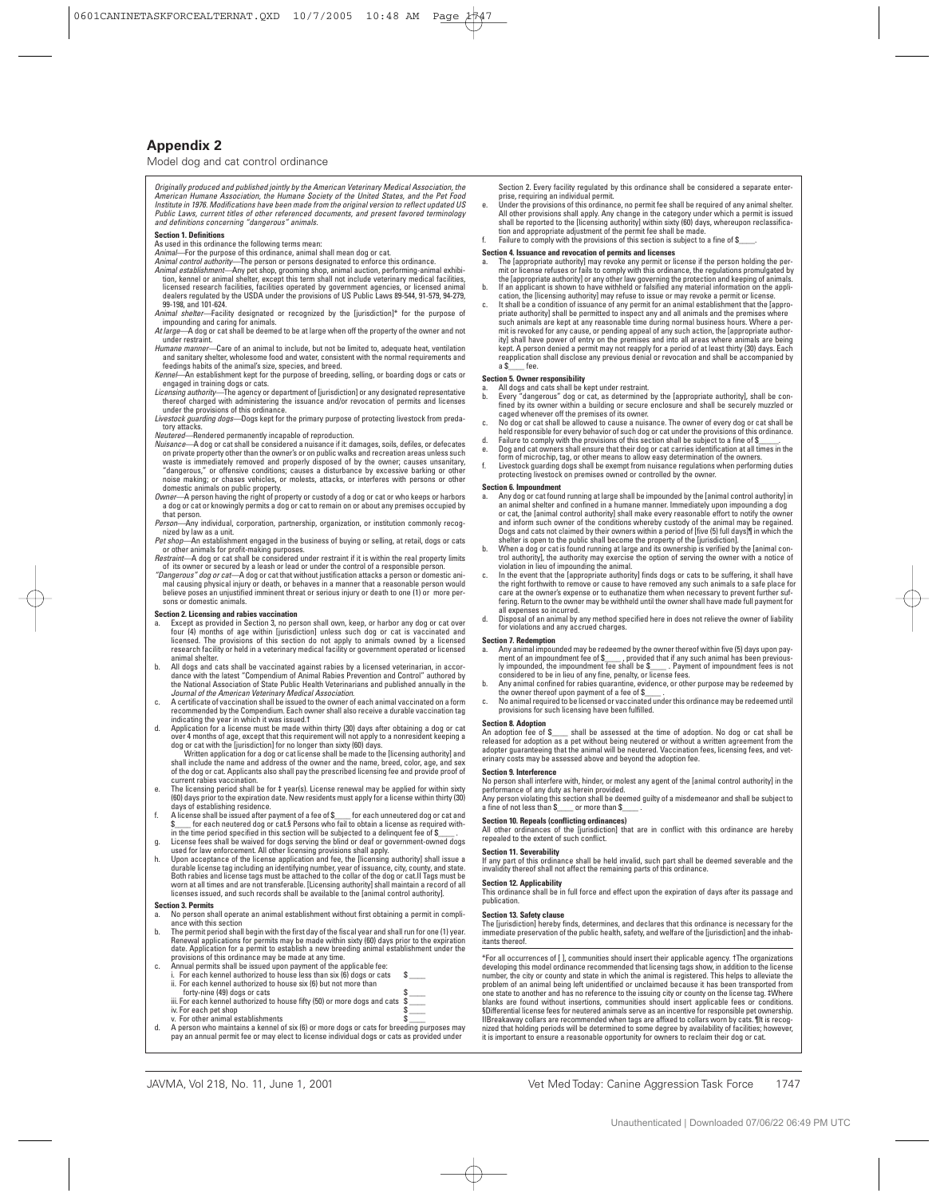## **Appendix 2**

Model dog and cat control ordinance

Originally produced and published jointly by the American Veterinary Medical Association, the American Humane Association, the Humane Society of the United States, and the Pet Food Institute in 1976. Modifications have been made from the original version to reflect updated US Public Laws, current titles of other referenced documents, and present favored terminology and definitions concerning "dangerous" animals.

#### **Section 1. Definitions**

- As used in this ordinance the following terms mean:<br>*Animal*—For the purpose of this ordinance, animal shall mean dog or cat.
- 
- 
- Animal control authority--The person or persons designated to enforce this ordinance.<br>Animal establishment--Any pet shop, grooming shop, animal auction, performing-animal exhibi-<br>ion, kennel or animal shelter, except this 99-198, and 101-624.
- Animal shelter—Facility designated or recognized by the [jurisdiction]\* for the purpose of impounding and caring for animals. At large—A dog or cat shall be deemed to be at large when off the property of the owner and not
- under restraint.
- Humane manner—Care of an animal to include, but not be limited to, adequate heat, ventilation and sanitary shelter, wholesome food and water, consistent with the normal requirements and feedings habits of the animal's size, species, and breed.
- Kennel—An establishment kept for the purpose of breeding, selling, or boarding dogs or cats or
- engaged in training dogs or cats.<br>Licensing authority—The agency or department of [jurisdiction] or any designated representative<br>thereof charged with administering the issuance and/or revocation of permits and licenses<br>un
- Livestock guarding dogs—Dogs kept for the primary purpose of protecting livestock from predatory attacks.
- nery attache.<br>Neutered—Rendered permanently incapable of reproduction.
- Nuisance—A dog or cat shall be considered a nuisance if it: damages, soils, defiles, or defecates on private property other than the owner's or on public walks and recreation areas unless such waste is immediately removed and properly disposed of by the owner; causes unsanitary, "dangerous," or offensive conditions; causes a disturbance by excessive barking or other noise making; or chases vehicles, or molests, attacks, or interferes with persons or other
- domestic animals on public property.<br>*Owner*—A person having the right of property or custody of a dog or cat or who keeps or harbors a dog or cat or knowingly permits a dog or cat to remain on or about any premises occupied by that person.
- Person—Any individual, corporation, partnership, organization, or institution commonly recog-
- nized by law as a unit.<br>*Pet shop—*An establishment engaged in the business of buying or selling, at retail, dogs or cats
- or other animals for profit-making purposes.<br>*Restraint—*A dog or cat shall be considered under restraint if it is within the real property limits of its owner or secured by a leash or lead or under the control of a responsible person.<br>"Dangerous" dog or cat—A dog or cat that without justification attacks a person or domes
- "Dangerous" dog or cat—A dog or cat that without justification attacks a person or domestic ani-mal causing physical injury or death, or behaves in a manner that a reasonable person would believe poses an unjustified imminent threat or serious injury or death to one (1) or more per-sons or domestic animals.

#### **Section 2. Licensing and rabies vaccination**

- a. Except as provided in Section 3, no person shall own, keep, or harbor any dog or cat over four (4) months of age within [jurisdiction] unless such dog or cat is vaccinated and licensed. The provisions of this section do not apply to animals owned by a licensed research facility or held in a veterinary medical facility or government operated or licensed animal shelter.
- b. All dogs and cats shall be vaccinated against rabies by a licensed veterinarian, in accor-dance with the latest "Compendium of Animal Rabies Prevention and Control" authored by the National Association of State Public Health Veterinarians and published annually in the
- Journal of the American Veterinary Medical Association. c. A certificate of vaccination shall be issued to the owner of each animal vaccinated on a form recommended by the Compendium. Each owner shall also receive a durable vaccination tag indicating the year in which it was issued.†
- d. Application for a license must be made within thirty (30) days after obtaining a dog or cat<br>over 4 months of age, except that this requirement will not apply to a nonresident keeping a<br>dog or cat with the [jurisdict
	- Written application for a dog or cat license shall be made to the [licensing authority] and shall include the name and address of the owner and the name, breed, color, age, and sex of the dog or cat. Applicants also shall pay the prescribed licensing fee and provide proof of
- current rabies vaccination. e. The licensing period shall be for ‡ year(s). License renewal may be applied for within sixty (60) days prior to the expiration date. New residents must apply for a license within thirty (30) days of establishing residence.
- f. A license shall be issued after payment of a fee of \$\_\_\_\_ for each unneutered dog or cat and \$\_\_\_\_ for each neutered dog or cat.§ Persons who fail to obtain a license as required with-in the time period specified in this section will be subjected to a delinquent fee of \$\_\_\_\_ .
- g. License fees shall be waived for dogs serving the blind or deaf or government-owned dogs used for law enforcement. All other licensing provisions shall apply.
- h. Upon acceptance of the license application and fee, the [licensing authority] shall issue a<br>durable license tag including an identifying number, year of issuance, city, county, and state.<br>Both rabies and license tags mu worn at all times and are not transferable. [Licensing authority] shall maintain a record of all licenses issued, and such records shall be available to the [animal control authority].

#### **Section 3. Permits**

- No person shall operate an animal establishment without first obtaining a permit in compliance with this section b. The permit period shall begin with the first day of the fiscal year and shall run for one (1) year.
- Renewal applications for permits may be made within sixty (60) days prior to the expiration date. Application for a permit to establish a new breeding animal establishment under the provisions of this ordinance may be made at any time.
- c. Annual permits shall be issued upon payment of the applicable fee:<br>i. For each kennel authorized to house less than six (6) dogs or cats \$ \_\_\_<br>ii. For each kennel authorized to house six (6) but not more than forty-nine (49) dogs or cats
	- iii. For each kennel authorized to house fifty (50) or more dogs and cats  $$$ iv. For each pet shop \$ \_\_\_\_<br>v. For other animal establishments \$ \_\_\_\_
- 
- d. A person who maintains a kennel of six (6) or more dogs or cats for breeding purposes may pay an annual permit fee or may elect to license individual dogs or cats as provided under

Section 2. Every facility regulated by this ordinance shall be considered a separate enterprise, requiring an individual permit. e. Under the provisions of this ordinance, no permit fee shall be required of any animal shelter.

- All other provisions shall apply. Any change in the category under which a permit is issued<br>shall be reported to the [licensing authority] within sixty (60) days, whereupon reclassifica-<br>tion and appropriate adjustment of
- Failure to comply with the provisions of this section is subject to a fine of \$

#### **Section 4. Issuance and revocation of permits and licenses**

- a. The [appropriate authority] may revoke any permit or license if the person holding the per-mit or license refuses or fails to comply with this ordinance, the regulations promulgated by the [appropriate authority] or any other law governing the protection and keeping of animals. b. If an applicant is shown to have withheld or falsified any material information on the appli-
- 
- cation, the [licensing authority] may refuse to issue or may revoke a permit or license.<br>1. It shall be a condition of issuance of any permit for an animal establishment that the [appro-<br>1. priate authority] shall be permi such animals are kept at any reasonable time during normal business hours. Where a per-<br>mit is revoked for any cause, or pending appeal of any such action, the [appropriate author-<br>ity] shall have power of entry on the pre kept. A person denied a permit may not reapply for a period of at least thirty (30) days. Each reapplication shall disclose any previous denial or revocation and shall be accompanied by<br>a \$fee.  $-$  fee.

- 
- **Section 5. Owner responsibility**<br>a. All dogs and cats shall be kept under restraint.<br>b. Every "dangerous" dog or cat, as determined by the [appropriate authority], shall be con-<br> fined by its owner within a buil caged whenever off the premises of its owner.
- c. No dog or cat shall be allowed to cause a nuisance. The owner of every dog or cat shall be held responsible for every behavior of such dog or cat under the provisions of this ordinance.
- d. Failure to comply with the provisions of this section shall be subject to a fine of \$\_\_\_\_\_. e. Dog and cat owners shall ensure that their dog or cat carries identification at all times in the
- form of microchip, tag, or other means to allow easy determination of the owners. Livestock guarding dogs shall be exempt from nuisance regulations when performing duties protecting livestock on premises owned or controlled by the owner.

#### **Section 6. Impoundment**

- a. Any dog or cat found running at large shall be impounded by the [animal control authority] in an animal shelter and confined in a humane manner. Immediately upon impounding a dog or cat, the [animal control authority] shall make every reasonable effort to notify the owner and inform such owner of the conditions whereby custody of the animal may be regained. Dogs and cats not claimed by their owners within a period of [five (5) full days]¶ in which the shelter is open to the public shall become the property of the [jurisdiction].
- b. When a dog or cat is found running at large and its ownership is verified by the [animal control authority], the authority may exercise the option of serving the owner with a notice of violation in lieu of impounding the animal.
- c. In the event that the [appropriate authority] finds dogs or cats to be suffering, it shall have the right forthwith to remove or cause to have removed any such animals to a safe place for care at the owner's expense or to euthanatize them when necessary to prevent further suffering. Return to the owner may be withheld until the owner shall have made full payment for all expenses so incurred.
- d. Disposal of an animal by any method specified here in does not relieve the owner of liability for violations and any accrued charges.

## **Section 7. Redemption**

- Any animal impounded may be redeemed by the owner thereof within five (5) days upon payment of an impoundment fee of \$\_\_\_\_, provided that if any such animal has been previous-<br>ly impounded, the impoundment fee shall be \$\_\_\_\_. Payment of impoundment fees is not<br>considered to be in lieu of any fine, penalty, o
- b. Any animal confined for rabies quarantine, evidence, or other purpose may be redeemed by
- the owner thereof upon payment of a fee of \$\_\_\_\_ . c. No animal required to be licensed or vaccinated under this ordinance may be redeemed until provisions for such licensing have been fulfilled.

#### **Section 8. Adoption**

An adoption fee of \$\_\_\_\_ shall be assessed at the time of adoption. No dog or cat shall be released for adoption as a pet without being neutered or without a written agreement from the adopter guaranteeing that the animal will be neutered. Vaccination fees, licensing fees, and veterinary costs may be assessed above and beyond the adoption fee.

#### **Section 9. Interference**

No person shall interfere with, hinder, or molest any agent of the [animal control authority] in the performance of any duty as herein provided.<br>Any person violating this section shall be deemed guilty of a misdemeanor and shall be subject to<br>a fine of not less than \$\_\_\_\_ or more than \$\_\_\_\_ .

**Section 10. Repeals (conflicting ordinances)** All other ordinances of the [jurisdiction] that are in conflict with this ordinance are hereby repealed to the extent of such conflict.

#### **Section 11. Severability**

If any part of this ordinance shall be held invalid, such part shall be deemed severable and the invalidity thereof shall not affect the remaining parts of this ordinance.

#### **Section 12. Applicability**

This ordinance shall be in full force and effect upon the expiration of days after its passage and publication.

**Section 13. Safety clause**<br>The [jurisdiction] hereby finds, determines, and declares that this ordinance is necessary for the<br>immediate preservation of the public health, safety, and welfare of the [jurisdiction] and the itants thereof.

\*For all occurrences of [ ], communities should insert their applicable agency. †The organizations developing this model ordinance recommended that licensing tags show, in addition to the license number, the city or county and state in which the animal is registered. This helps to alleviate the problem of an animal being left unidentified or unclaimed because it has been transported from one state to another and has no reference to the issuing city or county on the license tag. ‡Where blanks are found without insertions, communities should insert applicable fees or conditions. \$Differential license fees for neutered animals serve as an incentive for responsible pet ownership.<br>IIBreakaway collars are recommended when tags are affixed to collars worn by cats. ¶It is recog-<br>nized that holding perio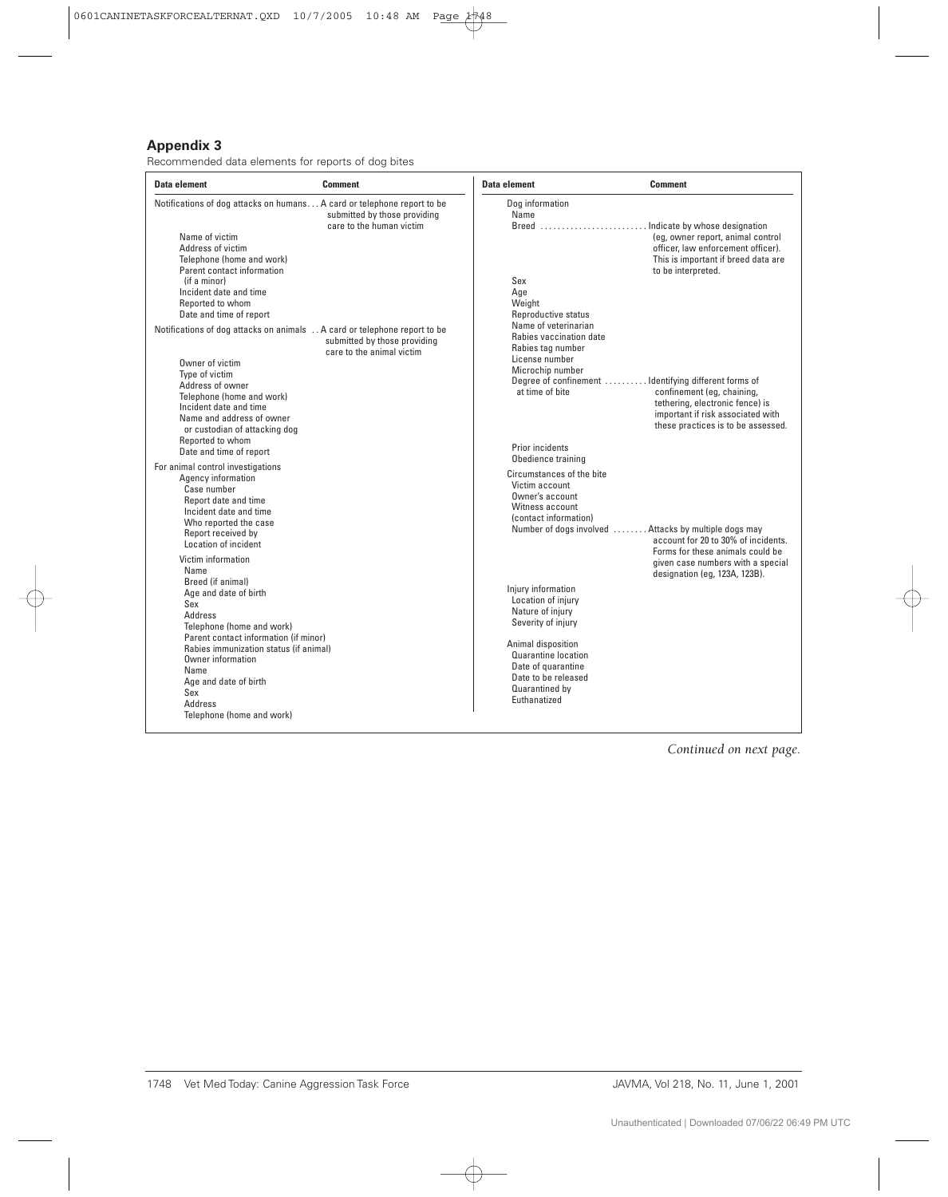## **Appendix 3**

Recommended data elements for reports of dog bites

| Data element<br><b>Comment</b>                                                                                                                                                                                                                                                                                                                                                                                                                                                                                                                                                                                                                                                                                                                                                                                                                                                                                                                                                                                                                                                                                                                                                                                                     | Data element                                                                                                                                                                                                                                                                                                                                                                                                                                                                                                                                                                                   | <b>Comment</b>                                                                                                                                                                                                                                                                                                                                                                                                                                                                                                                                      |
|------------------------------------------------------------------------------------------------------------------------------------------------------------------------------------------------------------------------------------------------------------------------------------------------------------------------------------------------------------------------------------------------------------------------------------------------------------------------------------------------------------------------------------------------------------------------------------------------------------------------------------------------------------------------------------------------------------------------------------------------------------------------------------------------------------------------------------------------------------------------------------------------------------------------------------------------------------------------------------------------------------------------------------------------------------------------------------------------------------------------------------------------------------------------------------------------------------------------------------|------------------------------------------------------------------------------------------------------------------------------------------------------------------------------------------------------------------------------------------------------------------------------------------------------------------------------------------------------------------------------------------------------------------------------------------------------------------------------------------------------------------------------------------------------------------------------------------------|-----------------------------------------------------------------------------------------------------------------------------------------------------------------------------------------------------------------------------------------------------------------------------------------------------------------------------------------------------------------------------------------------------------------------------------------------------------------------------------------------------------------------------------------------------|
| Notifications of dog attacks on humans A card or telephone report to be<br>submitted by those providing<br>care to the human victim<br>Name of victim<br>Address of victim<br>Telephone (home and work)<br>Parent contact information<br>(if a minor)<br>Incident date and time<br>Reported to whom<br>Date and time of report<br>Notifications of dog attacks on animals  A card or telephone report to be<br>submitted by those providing<br>care to the animal victim<br>Owner of victim<br>Type of victim<br>Address of owner<br>Telephone (home and work)<br>Incident date and time<br>Name and address of owner<br>or custodian of attacking dog<br>Reported to whom<br>Date and time of report<br>For animal control investigations<br>Agency information<br>Case number<br>Report date and time<br>Incident date and time<br>Who reported the case<br>Report received by<br>Location of incident<br>Victim information<br>Name<br>Breed (if animal)<br>Age and date of birth<br>Sex<br><b>Address</b><br>Telephone (home and work)<br>Parent contact information (if minor)<br>Rabies immunization status (if animal)<br>Owner information<br>Name<br>Age and date of birth<br>Sex<br>Address<br>Telephone (home and work) | Dog information<br>Name<br>Sex<br>Age<br>Weight<br>Reproductive status<br>Name of veterinarian<br>Rabies vaccination date<br>Rabies tag number<br>License number<br>Microchip number<br>at time of bite<br><b>Prior incidents</b><br>Obedience training<br>Circumstances of the bite<br>Victim account<br>Owner's account<br>Witness account<br>(contact information)<br>Injury information<br>Location of injury<br>Nature of injury<br>Severity of injury<br>Animal disposition<br><b>Quarantine location</b><br>Date of quarantine<br>Date to be released<br>Quarantined by<br>Euthanatized | (eq. owner report, animal control<br>officer, law enforcement officer).<br>This is important if breed data are<br>to be interpreted.<br>Degree of confinement  Identifying different forms of<br>confinement (eq. chaining,<br>tethering, electronic fence) is<br>important if risk associated with<br>these practices is to be assessed.<br>Number of dogs involved  Attacks by multiple dogs may<br>account for 20 to 30% of incidents.<br>Forms for these animals could be<br>given case numbers with a special<br>designation (eg, 123A, 123B). |

*Continued on next page.*